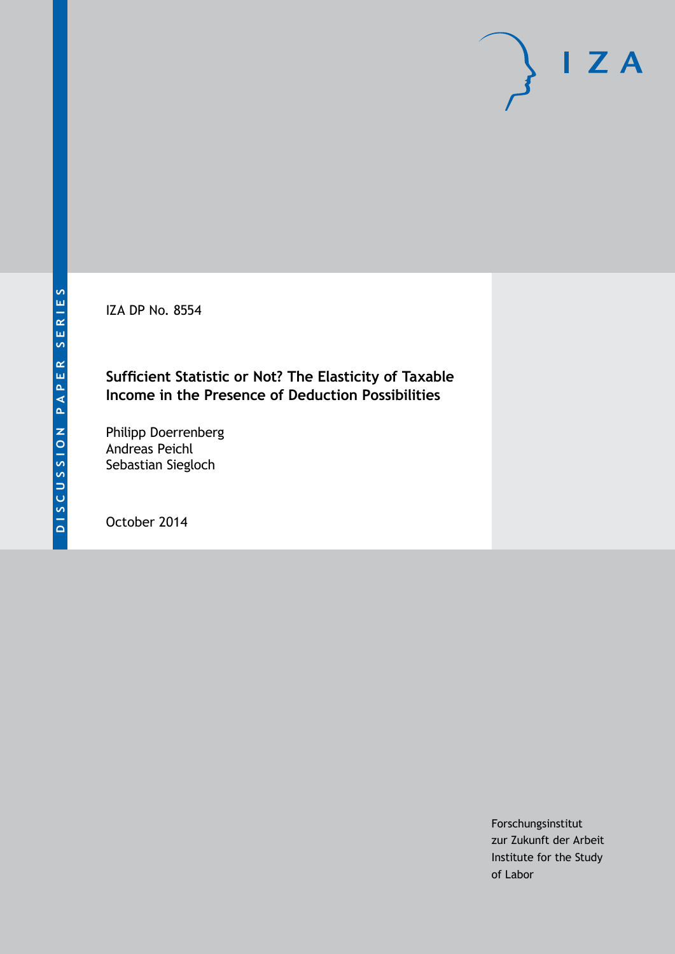IZA DP No. 8554

# **Sufficient Statistic or Not? The Elasticity of Taxable Income in the Presence of Deduction Possibilities**

Philipp Doerrenberg Andreas Peichl Sebastian Siegloch

October 2014

Forschungsinstitut zur Zukunft der Arbeit Institute for the Study of Labor

 $I Z A$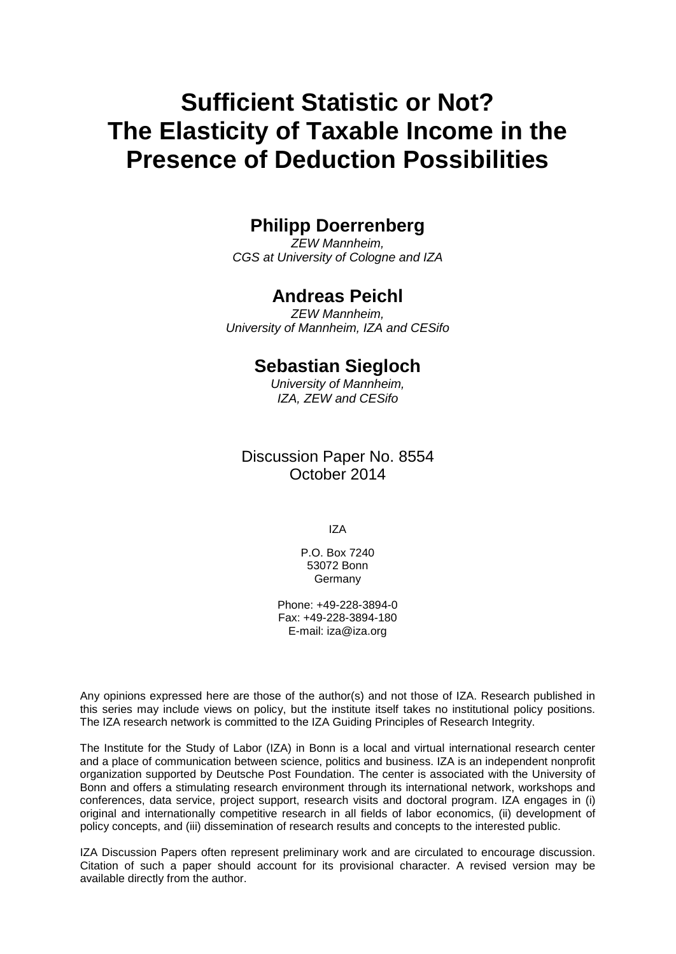# **Sufficient Statistic or Not? The Elasticity of Taxable Income in the Presence of Deduction Possibilities**

# **Philipp Doerrenberg**

*ZEW Mannheim, CGS at University of Cologne and IZA*

### **Andreas Peichl**

*ZEW Mannheim, University of Mannheim, IZA and CESifo*

### **Sebastian Siegloch**

*University of Mannheim, IZA, ZEW and CESifo*

Discussion Paper No. 8554 October 2014

IZA

P.O. Box 7240 53072 Bonn Germany

Phone: +49-228-3894-0 Fax: +49-228-3894-180 E-mail: [iza@iza.org](mailto:iza@iza.org)

Any opinions expressed here are those of the author(s) and not those of IZA. Research published in this series may include views on policy, but the institute itself takes no institutional policy positions. The IZA research network is committed to the IZA Guiding Principles of Research Integrity.

The Institute for the Study of Labor (IZA) in Bonn is a local and virtual international research center and a place of communication between science, politics and business. IZA is an independent nonprofit organization supported by Deutsche Post Foundation. The center is associated with the University of Bonn and offers a stimulating research environment through its international network, workshops and conferences, data service, project support, research visits and doctoral program. IZA engages in (i) original and internationally competitive research in all fields of labor economics, (ii) development of policy concepts, and (iii) dissemination of research results and concepts to the interested public.

IZA Discussion Papers often represent preliminary work and are circulated to encourage discussion. Citation of such a paper should account for its provisional character. A revised version may be available directly from the author.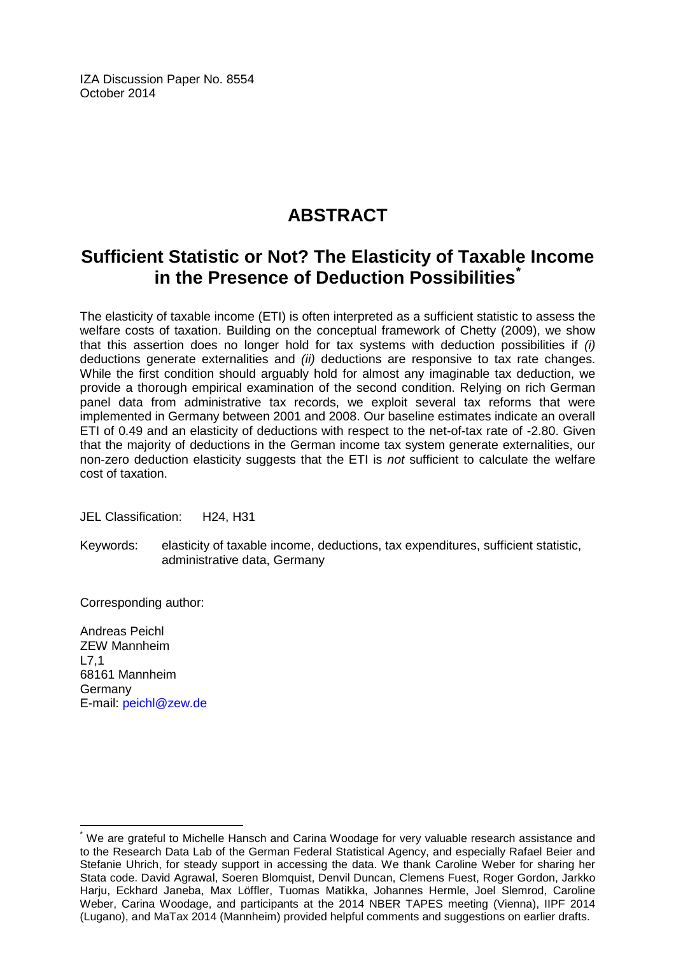IZA Discussion Paper No. 8554 October 2014

# **ABSTRACT**

# **Sufficient Statistic or Not? The Elasticity of Taxable Income in the Presence of Deduction Possibilities[\\*](#page-2-0)**

The elasticity of taxable income (ETI) is often interpreted as a sufficient statistic to assess the welfare costs of taxation. Building on the conceptual framework of Chetty (2009), we show that this assertion does no longer hold for tax systems with deduction possibilities if *(i)* deductions generate externalities and *(ii)* deductions are responsive to tax rate changes. While the first condition should arguably hold for almost any imaginable tax deduction, we provide a thorough empirical examination of the second condition. Relying on rich German panel data from administrative tax records, we exploit several tax reforms that were implemented in Germany between 2001 and 2008. Our baseline estimates indicate an overall ETI of 0.49 and an elasticity of deductions with respect to the net-of-tax rate of -2.80. Given that the majority of deductions in the German income tax system generate externalities, our non-zero deduction elasticity suggests that the ETI is *not* sufficient to calculate the welfare cost of taxation.

JEL Classification: H24, H31

Keywords: elasticity of taxable income, deductions, tax expenditures, sufficient statistic, administrative data, Germany

Corresponding author:

Andreas Peichl ZEW Mannheim L7,1 68161 Mannheim Germany E-mail: [peichl@zew.de](mailto:peichl@zew.de)

<span id="page-2-0"></span>We are grateful to Michelle Hansch and Carina Woodage for very valuable research assistance and to the Research Data Lab of the German Federal Statistical Agency, and especially Rafael Beier and Stefanie Uhrich, for steady support in accessing the data. We thank Caroline Weber for sharing her Stata code. David Agrawal, Soeren Blomquist, Denvil Duncan, Clemens Fuest, Roger Gordon, Jarkko Harju, Eckhard Janeba, Max Löffler, Tuomas Matikka, Johannes Hermle, Joel Slemrod, Caroline Weber, Carina Woodage, and participants at the 2014 NBER TAPES meeting (Vienna), IIPF 2014 (Lugano), and MaTax 2014 (Mannheim) provided helpful comments and suggestions on earlier drafts.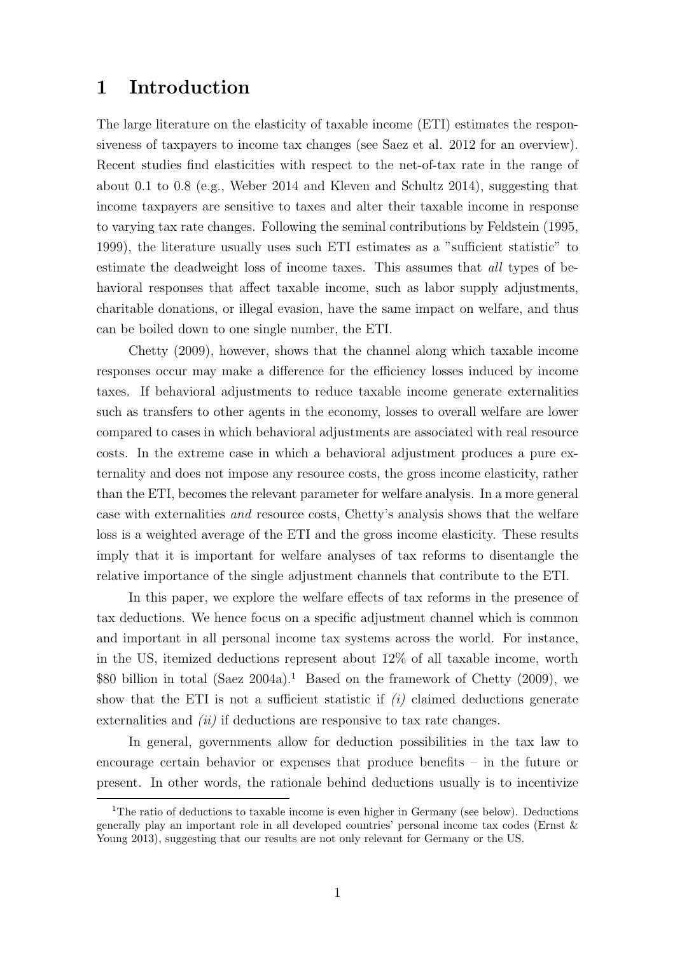# 1 Introduction

The large literature on the elasticity of taxable income (ETI) estimates the responsiveness of taxpayers to income tax changes (see [Saez et al. 2012](#page-24-0) for an overview). Recent studies find elasticities with respect to the net-of-tax rate in the range of about 0.1 to 0.8 (e.g., [Weber 2014](#page-25-0) and [Kleven and Schultz 2014\)](#page-23-0), suggesting that income taxpayers are sensitive to taxes and alter their taxable income in response to varying tax rate changes. Following the seminal contributions by Feldstein [\(1995,](#page-22-0) [1999\)](#page-22-1), the literature usually uses such ETI estimates as a "sufficient statistic" to estimate the deadweight loss of income taxes. This assumes that all types of behavioral responses that affect taxable income, such as labor supply adjustments, charitable donations, or illegal evasion, have the same impact on welfare, and thus can be boiled down to one single number, the ETI.

[Chetty \(2009\),](#page-22-2) however, shows that the channel along which taxable income responses occur may make a difference for the efficiency losses induced by income taxes. If behavioral adjustments to reduce taxable income generate externalities such as transfers to other agents in the economy, losses to overall welfare are lower compared to cases in which behavioral adjustments are associated with real resource costs. In the extreme case in which a behavioral adjustment produces a pure externality and does not impose any resource costs, the gross income elasticity, rather than the ETI, becomes the relevant parameter for welfare analysis. In a more general case with externalities and resource costs, Chetty's analysis shows that the welfare loss is a weighted average of the ETI and the gross income elasticity. These results imply that it is important for welfare analyses of tax reforms to disentangle the relative importance of the single adjustment channels that contribute to the ETI.

In this paper, we explore the welfare effects of tax reforms in the presence of tax deductions. We hence focus on a specific adjustment channel which is common and important in all personal income tax systems across the world. For instance, in the US, itemized deductions represent about 12% of all taxable income, worth \$80 billion in total  $(Saez 2004a)^{1}$  $(Saez 2004a)^{1}$  $(Saez 2004a)^{1}$  $(Saez 2004a)^{1}$  Based on the framework of [Chetty \(2009\),](#page-22-2) we show that the ETI is not a sufficient statistic if  $(i)$  claimed deductions generate externalities and  $(ii)$  if deductions are responsive to tax rate changes.

In general, governments allow for deduction possibilities in the tax law to encourage certain behavior or expenses that produce benefits – in the future or present. In other words, the rationale behind deductions usually is to incentivize

<span id="page-3-0"></span><sup>&</sup>lt;sup>1</sup>The ratio of deductions to taxable income is even higher in Germany (see below). Deductions generally play an important role in all developed countries' personal income tax codes [\(Ernst &](#page-22-3) [Young 2013\)](#page-22-3), suggesting that our results are not only relevant for Germany or the US.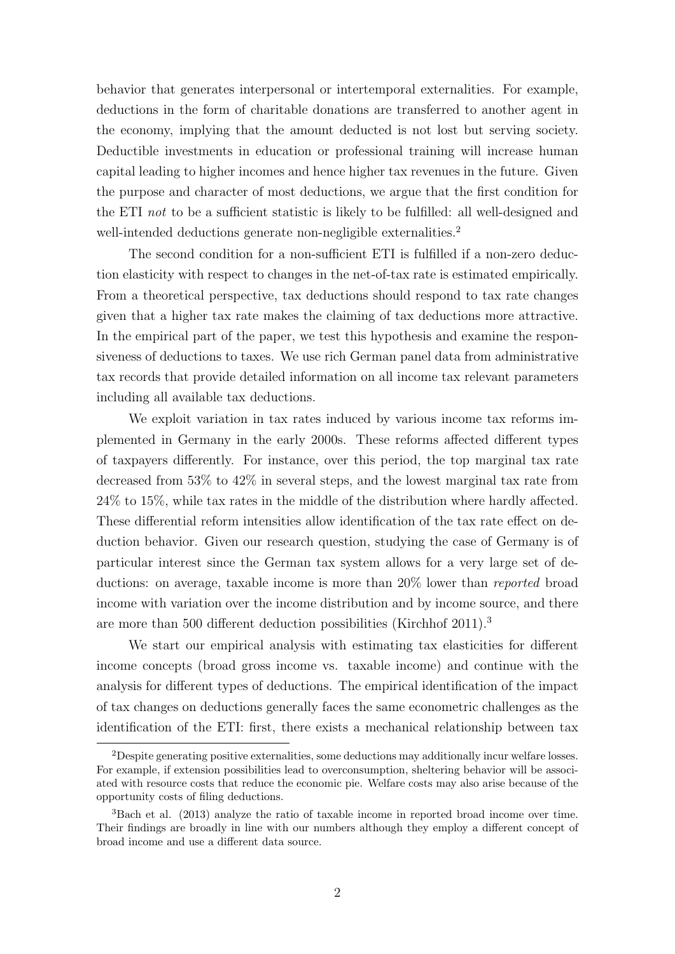behavior that generates interpersonal or intertemporal externalities. For example, deductions in the form of charitable donations are transferred to another agent in the economy, implying that the amount deducted is not lost but serving society. Deductible investments in education or professional training will increase human capital leading to higher incomes and hence higher tax revenues in the future. Given the purpose and character of most deductions, we argue that the first condition for the ETI not to be a sufficient statistic is likely to be fulfilled: all well-designed and well-intended deductions generate non-negligible externalities.<sup>[2](#page-4-0)</sup>

The second condition for a non-sufficient ETI is fulfilled if a non-zero deduction elasticity with respect to changes in the net-of-tax rate is estimated empirically. From a theoretical perspective, tax deductions should respond to tax rate changes given that a higher tax rate makes the claiming of tax deductions more attractive. In the empirical part of the paper, we test this hypothesis and examine the responsiveness of deductions to taxes. We use rich German panel data from administrative tax records that provide detailed information on all income tax relevant parameters including all available tax deductions.

We exploit variation in tax rates induced by various income tax reforms implemented in Germany in the early 2000s. These reforms affected different types of taxpayers differently. For instance, over this period, the top marginal tax rate decreased from 53% to 42% in several steps, and the lowest marginal tax rate from 24% to 15%, while tax rates in the middle of the distribution where hardly affected. These differential reform intensities allow identification of the tax rate effect on deduction behavior. Given our research question, studying the case of Germany is of particular interest since the German tax system allows for a very large set of deductions: on average, taxable income is more than 20% lower than reported broad income with variation over the income distribution and by income source, and there are more than 500 different deduction possibilities [\(Kirchhof 2011\)](#page-23-1).<sup>[3](#page-4-1)</sup>

We start our empirical analysis with estimating tax elasticities for different income concepts (broad gross income vs. taxable income) and continue with the analysis for different types of deductions. The empirical identification of the impact of tax changes on deductions generally faces the same econometric challenges as the identification of the ETI: first, there exists a mechanical relationship between tax

<span id="page-4-0"></span><sup>&</sup>lt;sup>2</sup>Despite generating positive externalities, some deductions may additionally incur welfare losses. For example, if extension possibilities lead to overconsumption, sheltering behavior will be associated with resource costs that reduce the economic pie. Welfare costs may also arise because of the opportunity costs of filing deductions.

<span id="page-4-1"></span><sup>3</sup>[Bach et al. \(2013\)](#page-22-4) analyze the ratio of taxable income in reported broad income over time. Their findings are broadly in line with our numbers although they employ a different concept of broad income and use a different data source.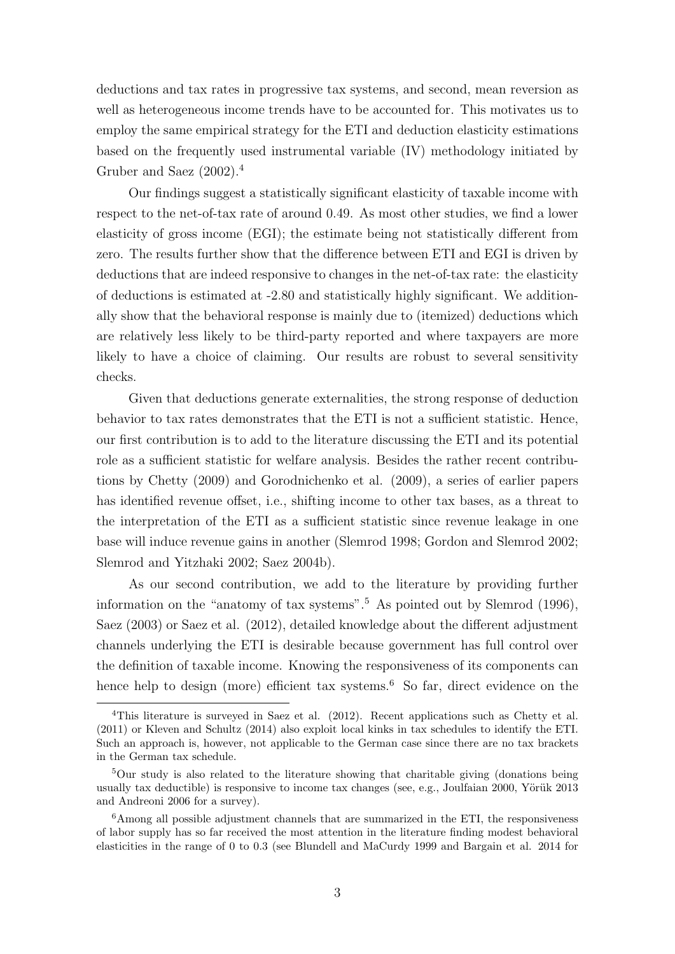deductions and tax rates in progressive tax systems, and second, mean reversion as well as heterogeneous income trends have to be accounted for. This motivates us to employ the same empirical strategy for the ETI and deduction elasticity estimations based on the frequently used instrumental variable (IV) methodology initiated by Gruber and Saez  $(2002).<sup>4</sup>$  $(2002).<sup>4</sup>$  $(2002).<sup>4</sup>$ 

Our findings suggest a statistically significant elasticity of taxable income with respect to the net-of-tax rate of around 0.49. As most other studies, we find a lower elasticity of gross income (EGI); the estimate being not statistically different from zero. The results further show that the difference between ETI and EGI is driven by deductions that are indeed responsive to changes in the net-of-tax rate: the elasticity of deductions is estimated at -2.80 and statistically highly significant. We additionally show that the behavioral response is mainly due to (itemized) deductions which are relatively less likely to be third-party reported and where taxpayers are more likely to have a choice of claiming. Our results are robust to several sensitivity checks.

Given that deductions generate externalities, the strong response of deduction behavior to tax rates demonstrates that the ETI is not a sufficient statistic. Hence, our first contribution is to add to the literature discussing the ETI and its potential role as a sufficient statistic for welfare analysis. Besides the rather recent contributions by [Chetty \(2009\)](#page-22-2) and [Gorodnichenko et al. \(2009\),](#page-23-3) a series of earlier papers has identified revenue offset, i.e., shifting income to other tax bases, as a threat to the interpretation of the ETI as a sufficient statistic since revenue leakage in one base will induce revenue gains in another [\(Slemrod 1998;](#page-24-2) [Gordon and Slemrod 2002;](#page-23-4) [Slemrod and Yitzhaki 2002;](#page-24-3) [Saez 2004b\)](#page-24-4).

As our second contribution, we add to the literature by providing further information on the "anatomy of tax systems".[5](#page-5-1) As pointed out by [Slemrod \(1996\),](#page-24-5) [Saez \(2003\)](#page-24-6) or [Saez et al. \(2012\),](#page-24-0) detailed knowledge about the different adjustment channels underlying the ETI is desirable because government has full control over the definition of taxable income. Knowing the responsiveness of its components can hence help to design (more) efficient tax systems.<sup>[6](#page-5-2)</sup> So far, direct evidence on the

<span id="page-5-0"></span><sup>&</sup>lt;sup>4</sup>This literature is surveyed in [Saez et al. \(2012\).](#page-24-0) Recent applications such as [Chetty et al.](#page-22-5) [\(2011\)](#page-22-5) or [Kleven and Schultz \(2014\)](#page-23-0) also exploit local kinks in tax schedules to identify the ETI. Such an approach is, however, not applicable to the German case since there are no tax brackets in the German tax schedule.

<span id="page-5-1"></span><sup>&</sup>lt;sup>5</sup>Our study is also related to the literature showing that charitable giving (donations being usually tax deductible) is responsive to income tax changes (see, e.g., Joulfaian  $2000$ , Yörük  $2013$ and [Andreoni 2006](#page-22-6) for a survey).

<span id="page-5-2"></span><sup>&</sup>lt;sup>6</sup>Among all possible adjustment channels that are summarized in the ETI, the responsiveness of labor supply has so far received the most attention in the literature finding modest behavioral elasticities in the range of 0 to 0.3 (see [Blundell and MaCurdy 1999](#page-22-7) and [Bargain et al. 2014](#page-22-8) for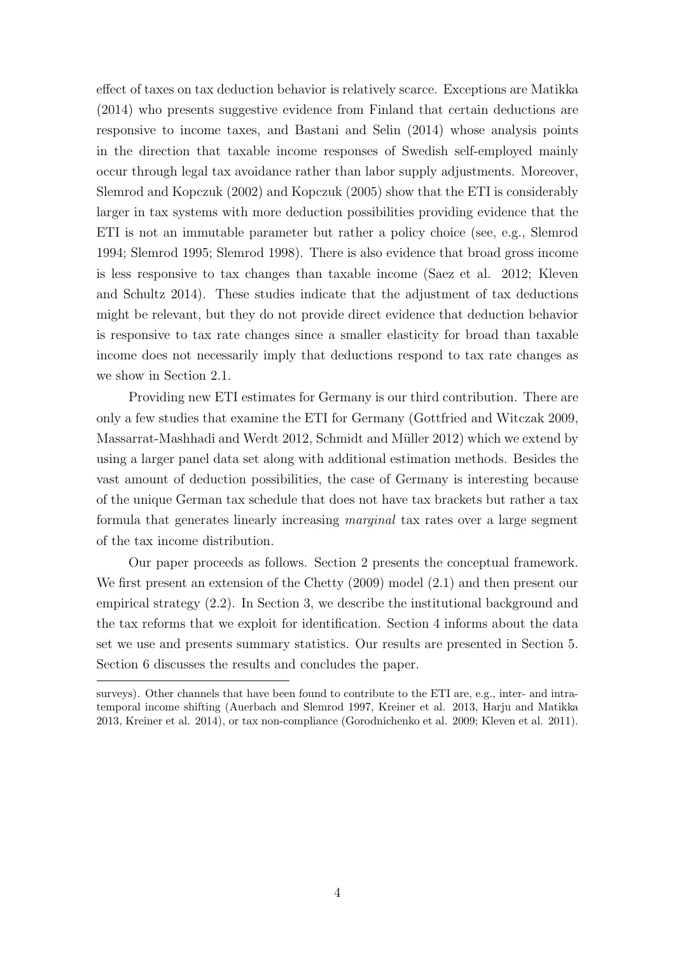effect of taxes on tax deduction behavior is relatively scarce. Exceptions are [Matikka](#page-24-7) [\(2014\)](#page-24-7) who presents suggestive evidence from Finland that certain deductions are responsive to income taxes, and [Bastani and Selin \(2014\)](#page-22-9) whose analysis points in the direction that taxable income responses of Swedish self-employed mainly occur through legal tax avoidance rather than labor supply adjustments. Moreover, [Slemrod and Kopczuk \(2002\)](#page-24-8) and [Kopczuk \(2005\)](#page-23-6) show that the ETI is considerably larger in tax systems with more deduction possibilities providing evidence that the ETI is not an immutable parameter but rather a policy choice (see, e.g., [Slemrod](#page-24-9) [1994;](#page-24-9) [Slemrod 1995;](#page-24-10) [Slemrod 1998\)](#page-24-2). There is also evidence that broad gross income is less responsive to tax changes than taxable income [\(Saez et al. 2012;](#page-24-0) [Kleven](#page-23-0) [and Schultz 2014\)](#page-23-0). These studies indicate that the adjustment of tax deductions might be relevant, but they do not provide direct evidence that deduction behavior is responsive to tax rate changes since a smaller elasticity for broad than taxable income does not necessarily imply that deductions respond to tax rate changes as we show in Section [2.1.](#page-7-0)

Providing new ETI estimates for Germany is our third contribution. There are only a few studies that examine the ETI for Germany [\(Gottfried and Witczak 2009,](#page-23-7) [Massarrat-Mashhadi and Werdt 2012,](#page-24-11) Schmidt and Müller 2012) which we extend by using a larger panel data set along with additional estimation methods. Besides the vast amount of deduction possibilities, the case of Germany is interesting because of the unique German tax schedule that does not have tax brackets but rather a tax formula that generates linearly increasing *marginal* tax rates over a large segment of the tax income distribution.

Our paper proceeds as follows. Section [2](#page-7-1) presents the conceptual framework. We first present an extension of the [Chetty \(2009\)](#page-22-2) model [\(2.1\)](#page-7-0) and then present our empirical strategy [\(2.2\)](#page-10-0). In Section [3,](#page-12-0) we describe the institutional background and the tax reforms that we exploit for identification. Section [4](#page-16-0) informs about the data set we use and presents summary statistics. Our results are presented in Section [5.](#page-17-0) Section [6](#page-19-0) discusses the results and concludes the paper.

surveys). Other channels that have been found to contribute to the ETI are, e.g., inter- and intratemporal income shifting [\(Auerbach and Slemrod 1997,](#page-22-10) [Kreiner et al. 2013,](#page-23-8) [Harju and Matikka](#page-23-9) [2013,](#page-23-9) [Kreiner et al. 2014\)](#page-23-10), or tax non-compliance [\(Gorodnichenko et al. 2009;](#page-23-3) [Kleven et al. 2011\)](#page-23-11).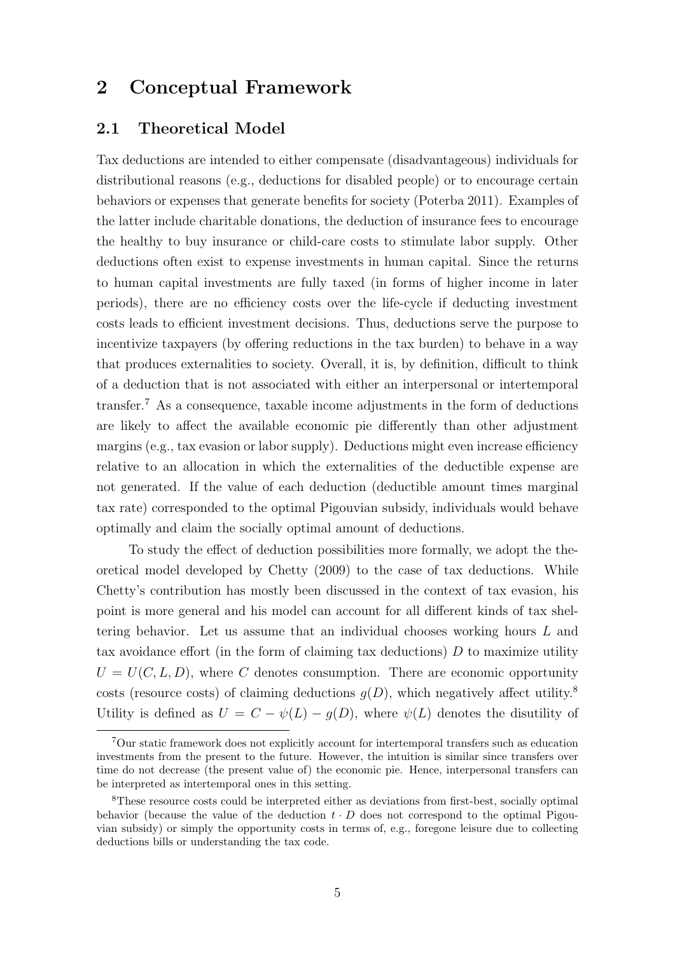# <span id="page-7-1"></span>2 Conceptual Framework

#### <span id="page-7-0"></span>2.1 Theoretical Model

Tax deductions are intended to either compensate (disadvantageous) individuals for distributional reasons (e.g., deductions for disabled people) or to encourage certain behaviors or expenses that generate benefits for society [\(Poterba 2011\)](#page-24-13). Examples of the latter include charitable donations, the deduction of insurance fees to encourage the healthy to buy insurance or child-care costs to stimulate labor supply. Other deductions often exist to expense investments in human capital. Since the returns to human capital investments are fully taxed (in forms of higher income in later periods), there are no efficiency costs over the life-cycle if deducting investment costs leads to efficient investment decisions. Thus, deductions serve the purpose to incentivize taxpayers (by offering reductions in the tax burden) to behave in a way that produces externalities to society. Overall, it is, by definition, difficult to think of a deduction that is not associated with either an interpersonal or intertemporal transfer.<sup>[7](#page-7-2)</sup> As a consequence, taxable income adjustments in the form of deductions are likely to affect the available economic pie differently than other adjustment margins (e.g., tax evasion or labor supply). Deductions might even increase efficiency relative to an allocation in which the externalities of the deductible expense are not generated. If the value of each deduction (deductible amount times marginal tax rate) corresponded to the optimal Pigouvian subsidy, individuals would behave optimally and claim the socially optimal amount of deductions.

To study the effect of deduction possibilities more formally, we adopt the theoretical model developed by [Chetty \(2009\)](#page-22-2) to the case of tax deductions. While Chetty's contribution has mostly been discussed in the context of tax evasion, his point is more general and his model can account for all different kinds of tax sheltering behavior. Let us assume that an individual chooses working hours L and tax avoidance effort (in the form of claiming tax deductions)  $D$  to maximize utility  $U = U(C, L, D)$ , where C denotes consumption. There are economic opportunity costs (resource costs) of claiming deductions  $q(D)$ , which negatively affect utility.<sup>[8](#page-7-3)</sup> Utility is defined as  $U = C - \psi(L) - g(D)$ , where  $\psi(L)$  denotes the disutility of

<span id="page-7-2"></span><sup>7</sup>Our static framework does not explicitly account for intertemporal transfers such as education investments from the present to the future. However, the intuition is similar since transfers over time do not decrease (the present value of) the economic pie. Hence, interpersonal transfers can be interpreted as intertemporal ones in this setting.

<span id="page-7-3"></span><sup>&</sup>lt;sup>8</sup>These resource costs could be interpreted either as deviations from first-best, socially optimal behavior (because the value of the deduction  $t \cdot D$  does not correspond to the optimal Pigouvian subsidy) or simply the opportunity costs in terms of, e.g., foregone leisure due to collecting deductions bills or understanding the tax code.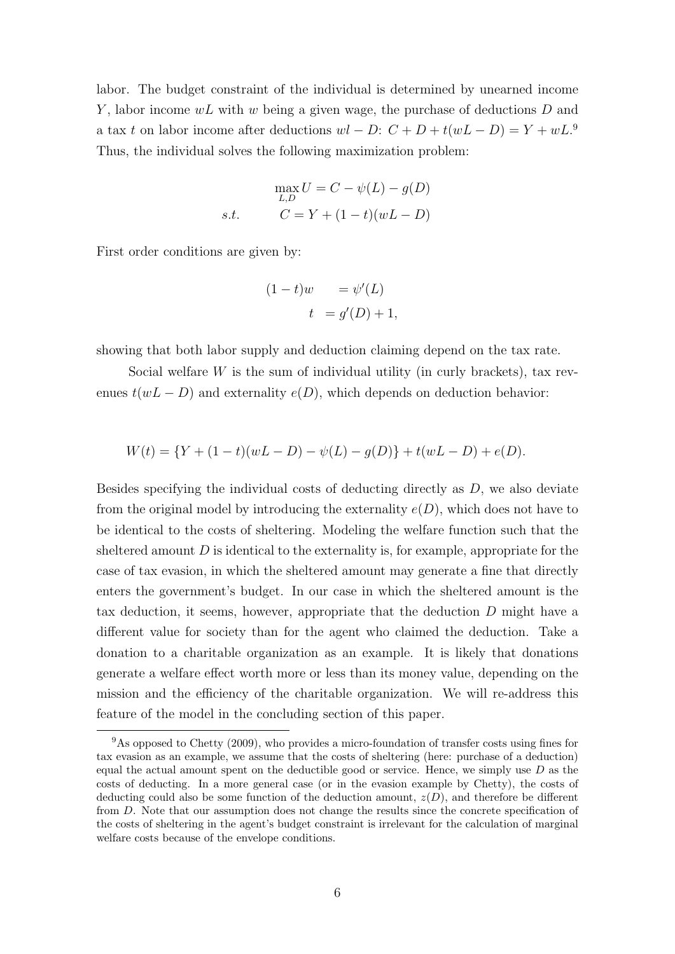labor. The budget constraint of the individual is determined by unearned income Y, labor income  $wL$  with w being a given wage, the purchase of deductions D and a tax t on labor income after deductions  $wl - D$ :  $C + D + t(wL - D) = Y + wL$ <sup>[9](#page-8-0)</sup> Thus, the individual solves the following maximization problem:

<span id="page-8-1"></span>
$$
\max_{L,D} U = C - \psi(L) - g(D)
$$
  
s.t. 
$$
C = Y + (1 - t)(wL - D)
$$

First order conditions are given by:

$$
(1-t)w = \psi'(L)
$$
  

$$
t = g'(D) + 1,
$$

showing that both labor supply and deduction claiming depend on the tax rate.

Social welfare  $W$  is the sum of individual utility (in curly brackets), tax revenues  $t(wL - D)$  and externality  $e(D)$ , which depends on deduction behavior:

$$
W(t) = \{ Y + (1-t)(wL - D) - \psi(L) - g(D) \} + t(wL - D) + e(D).
$$

Besides specifying the individual costs of deducting directly as  $D$ , we also deviate from the original model by introducing the externality  $e(D)$ , which does not have to be identical to the costs of sheltering. Modeling the welfare function such that the sheltered amount  $D$  is identical to the externality is, for example, appropriate for the case of tax evasion, in which the sheltered amount may generate a fine that directly enters the government's budget. In our case in which the sheltered amount is the tax deduction, it seems, however, appropriate that the deduction D might have a different value for society than for the agent who claimed the deduction. Take a donation to a charitable organization as an example. It is likely that donations generate a welfare effect worth more or less than its money value, depending on the mission and the efficiency of the charitable organization. We will re-address this feature of the model in the concluding section of this paper.

<span id="page-8-0"></span><sup>&</sup>lt;sup>9</sup>As opposed to [Chetty \(2009\),](#page-22-2) who provides a micro-foundation of transfer costs using fines for tax evasion as an example, we assume that the costs of sheltering (here: purchase of a deduction) equal the actual amount spent on the deductible good or service. Hence, we simply use  $D$  as the costs of deducting. In a more general case (or in the evasion example by Chetty), the costs of deducting could also be some function of the deduction amount,  $z(D)$ , and therefore be different from D. Note that our assumption does not change the results since the concrete specification of the costs of sheltering in the agent's budget constraint is irrelevant for the calculation of marginal welfare costs because of the envelope conditions.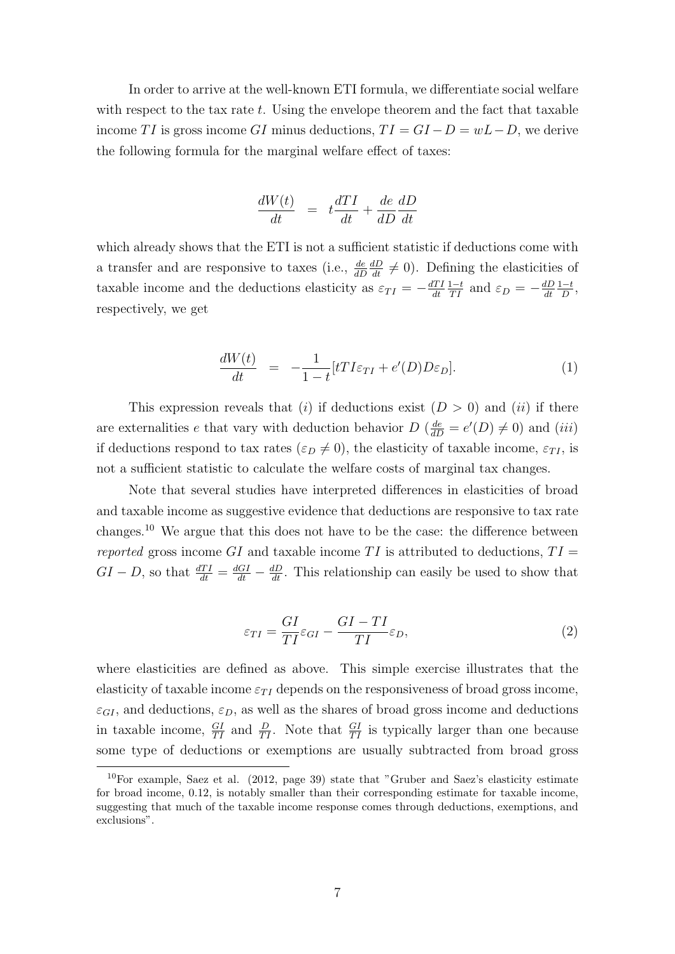In order to arrive at the well-known ETI formula, we differentiate social welfare with respect to the tax rate  $t$ . Using the envelope theorem and the fact that taxable income TI is gross income GI minus deductions,  $TI = GI - D = wL - D$ , we derive the following formula for the marginal welfare effect of taxes:

$$
\frac{dW(t)}{dt} \;\; = \;\; t \frac{dTI}{dt} + \frac{de}{dD} \frac{dD}{dt}
$$

which already shows that the ETI is not a sufficient statistic if deductions come with a transfer and are responsive to taxes (i.e.,  $\frac{de}{dD}$  $\frac{dD}{dt} \neq 0$ ). Defining the elasticities of taxable income and the deductions elasticity as  $\varepsilon_{TI} = -\frac{dTI}{dt}$ dt  $\frac{1-t}{TI}$  and  $\varepsilon_D = -\frac{dD}{dt}$ dt  $1-t$  $\frac{-t}{D},$ respectively, we get

$$
\frac{dW(t)}{dt} = -\frac{1}{1-t}[tT I \varepsilon_{TI} + e'(D)D\varepsilon_D]. \tag{1}
$$

This expression reveals that (i) if deductions exist  $(D > 0)$  and (ii) if there are externalities e that vary with deduction behavior  $D\left(\frac{de}{dD} = e'(D) \neq 0\right)$  and  $(iii)$ if deductions respond to tax rates  $(\varepsilon_D \neq 0)$ , the elasticity of taxable income,  $\varepsilon_{TI}$ , is not a sufficient statistic to calculate the welfare costs of marginal tax changes.

Note that several studies have interpreted differences in elasticities of broad and taxable income as suggestive evidence that deductions are responsive to tax rate changes.<sup>[10](#page-9-0)</sup> We argue that this does not have to be the case: the difference between reported gross income GI and taxable income TI is attributed to deductions,  $TI =$  $GI - D$ , so that  $\frac{dTI}{dt} = \frac{dGI}{dt} - \frac{dD}{dt}$ . This relationship can easily be used to show that

<span id="page-9-1"></span>
$$
\varepsilon_{TI} = \frac{GI}{TI} \varepsilon_{GI} - \frac{GI - TI}{TI} \varepsilon_D,\tag{2}
$$

where elasticities are defined as above. This simple exercise illustrates that the elasticity of taxable income  $\varepsilon_{TI}$  depends on the responsiveness of broad gross income,  $\varepsilon_{GI}$ , and deductions,  $\varepsilon_D$ , as well as the shares of broad gross income and deductions in taxable income,  $\frac{GI}{TI}$  and  $\frac{D}{TI}$ . Note that  $\frac{GI}{TI}$  is typically larger than one because some type of deductions or exemptions are usually subtracted from broad gross

<span id="page-9-0"></span> $10$ For example, [Saez et al. \(2012, page 39\)](#page-24-0) state that "Gruber and Saez's elasticity estimate for broad income, 0.12, is notably smaller than their corresponding estimate for taxable income, suggesting that much of the taxable income response comes through deductions, exemptions, and exclusions".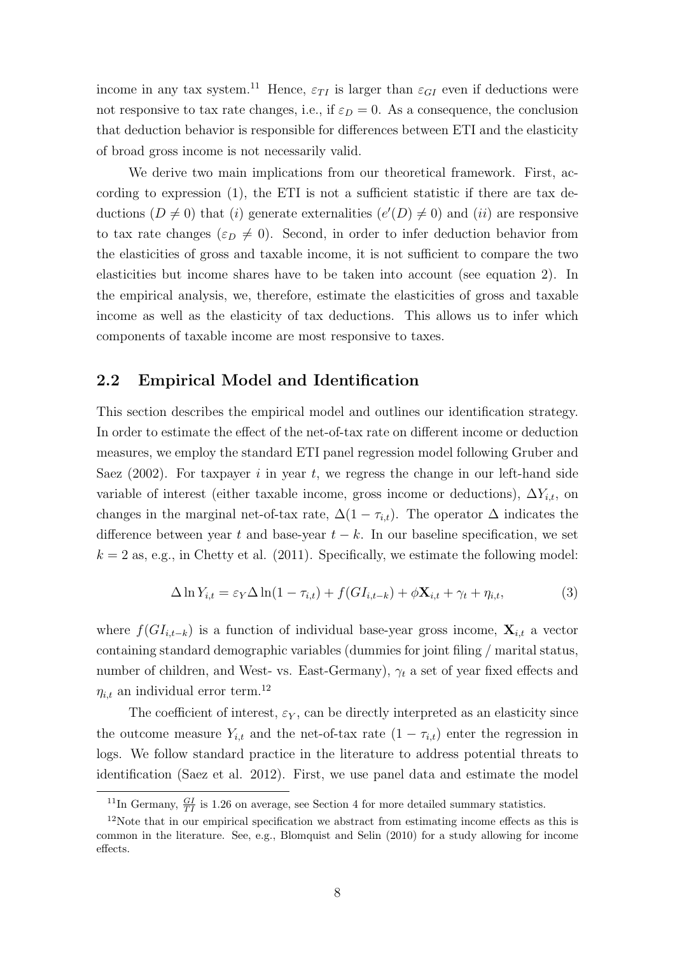income in any tax system.<sup>[11](#page-10-1)</sup> Hence,  $\varepsilon_{TI}$  is larger than  $\varepsilon_{GI}$  even if deductions were not responsive to tax rate changes, i.e., if  $\varepsilon_D = 0$ . As a consequence, the conclusion that deduction behavior is responsible for differences between ETI and the elasticity of broad gross income is not necessarily valid.

We derive two main implications from our theoretical framework. First, according to expression [\(1\)](#page-8-1), the ETI is not a sufficient statistic if there are tax deductions  $(D \neq 0)$  that (i) generate externalities  $(e'(D) \neq 0)$  and (ii) are responsive to tax rate changes ( $\varepsilon_D \neq 0$ ). Second, in order to infer deduction behavior from the elasticities of gross and taxable income, it is not sufficient to compare the two elasticities but income shares have to be taken into account (see equation [2\)](#page-9-1). In the empirical analysis, we, therefore, estimate the elasticities of gross and taxable income as well as the elasticity of tax deductions. This allows us to infer which components of taxable income are most responsive to taxes.

#### <span id="page-10-0"></span>2.2 Empirical Model and Identification

This section describes the empirical model and outlines our identification strategy. In order to estimate the effect of the net-of-tax rate on different income or deduction measures, we employ the standard ETI panel regression model following [Gruber and](#page-23-2) [Saez \(2002\).](#page-23-2) For taxpayer i in year t, we regress the change in our left-hand side variable of interest (either taxable income, gross income or deductions),  $\Delta Y_{i,t}$ , on changes in the marginal net-of-tax rate,  $\Delta(1 - \tau_{i,t})$ . The operator  $\Delta$  indicates the difference between year t and base-year  $t - k$ . In our baseline specification, we set  $k = 2$  as, e.g., in [Chetty et al. \(2011\).](#page-22-5) Specifically, we estimate the following model:

<span id="page-10-3"></span>
$$
\Delta \ln Y_{i,t} = \varepsilon_Y \Delta \ln(1 - \tau_{i,t}) + f(GI_{i,t-k}) + \phi \mathbf{X}_{i,t} + \gamma_t + \eta_{i,t},
$$
\n(3)

where  $f(GI_{i,t-k})$  is a function of individual base-year gross income,  $\mathbf{X}_{i,t}$  a vector containing standard demographic variables (dummies for joint filing / marital status, number of children, and West- vs. East-Germany),  $\gamma_t$  a set of year fixed effects and  $\eta_{i,t}$  an individual error term.<sup>[12](#page-10-2)</sup>

The coefficient of interest,  $\varepsilon_Y$ , can be directly interpreted as an elasticity since the outcome measure  $Y_{i,t}$  and the net-of-tax rate  $(1 - \tau_{i,t})$  enter the regression in logs. We follow standard practice in the literature to address potential threats to identification [\(Saez et al. 2012\)](#page-24-0). First, we use panel data and estimate the model

<span id="page-10-2"></span><span id="page-10-1"></span><sup>&</sup>lt;sup>11</sup>In Germany,  $\frac{GI}{TI}$  is 1.26 on average, see Section [4](#page-16-0) for more detailed summary statistics.

 $12$ Note that in our empirical specification we abstract from estimating income effects as this is common in the literature. See, e.g., [Blomquist and Selin \(2010\)](#page-22-11) for a study allowing for income effects.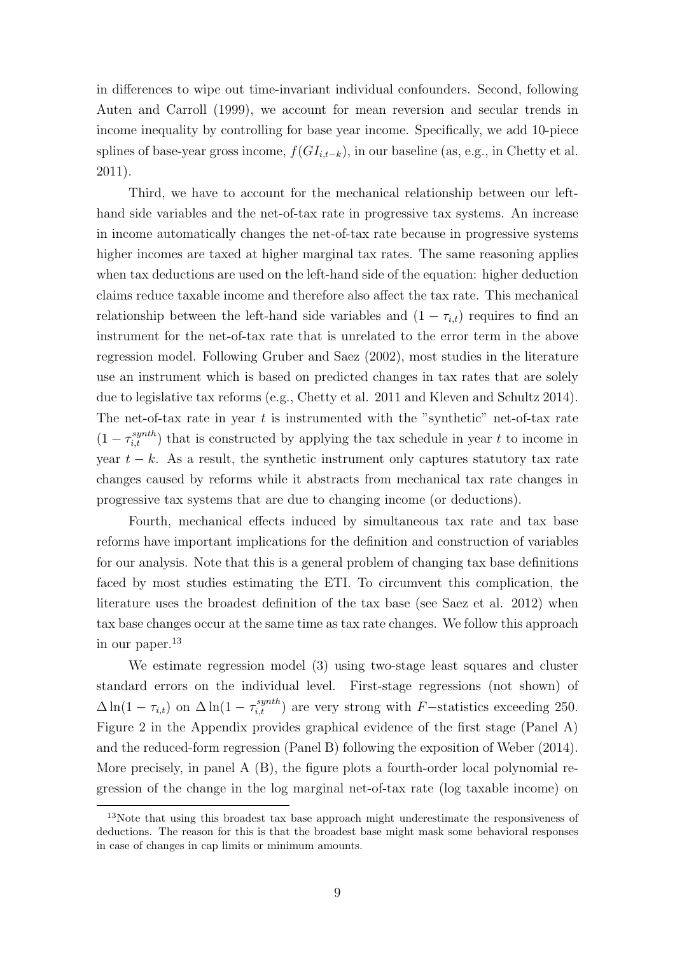in differences to wipe out time-invariant individual confounders. Second, following [Auten and Carroll \(1999\),](#page-22-12) we account for mean reversion and secular trends in income inequality by controlling for base year income. Specifically, we add 10-piece splines of base-year gross income,  $f(GI_{i,t-k})$ , in our baseline (as, e.g., in [Chetty et al.](#page-22-5) [2011\)](#page-22-5).

Third, we have to account for the mechanical relationship between our lefthand side variables and the net-of-tax rate in progressive tax systems. An increase in income automatically changes the net-of-tax rate because in progressive systems higher incomes are taxed at higher marginal tax rates. The same reasoning applies when tax deductions are used on the left-hand side of the equation: higher deduction claims reduce taxable income and therefore also affect the tax rate. This mechanical relationship between the left-hand side variables and  $(1 - \tau_{i,t})$  requires to find an instrument for the net-of-tax rate that is unrelated to the error term in the above regression model. Following [Gruber and Saez \(2002\),](#page-23-2) most studies in the literature use an instrument which is based on predicted changes in tax rates that are solely due to legislative tax reforms (e.g., [Chetty et al. 2011](#page-22-5) and [Kleven and Schultz 2014\)](#page-23-0). The net-of-tax rate in year  $t$  is instrumented with the "synthetic" net-of-tax rate  $(1 - \tau_{i,t}^{synth})$  that is constructed by applying the tax schedule in year t to income in year  $t - k$ . As a result, the synthetic instrument only captures statutory tax rate changes caused by reforms while it abstracts from mechanical tax rate changes in progressive tax systems that are due to changing income (or deductions).

Fourth, mechanical effects induced by simultaneous tax rate and tax base reforms have important implications for the definition and construction of variables for our analysis. Note that this is a general problem of changing tax base definitions faced by most studies estimating the ETI. To circumvent this complication, the literature uses the broadest definition of the tax base (see [Saez et al. 2012\)](#page-24-0) when tax base changes occur at the same time as tax rate changes. We follow this approach in our paper. $^{13}$  $^{13}$  $^{13}$ 

We estimate regression model [\(3\)](#page-10-3) using two-stage least squares and cluster standard errors on the individual level. First-stage regressions (not shown) of  $\Delta \ln(1 - \tau_{i,t})$  on  $\Delta \ln(1 - \tau_{i,t}^{synth})$  are very strong with F-statistics exceeding 250. Figure [2](#page-27-0) in the Appendix provides graphical evidence of the first stage (Panel A) and the reduced-form regression (Panel B) following the exposition of [Weber \(2014\).](#page-25-0) More precisely, in panel A (B), the figure plots a fourth-order local polynomial regression of the change in the log marginal net-of-tax rate (log taxable income) on

<span id="page-11-0"></span><sup>13</sup>Note that using this broadest tax base approach might underestimate the responsiveness of deductions. The reason for this is that the broadest base might mask some behavioral responses in case of changes in cap limits or minimum amounts.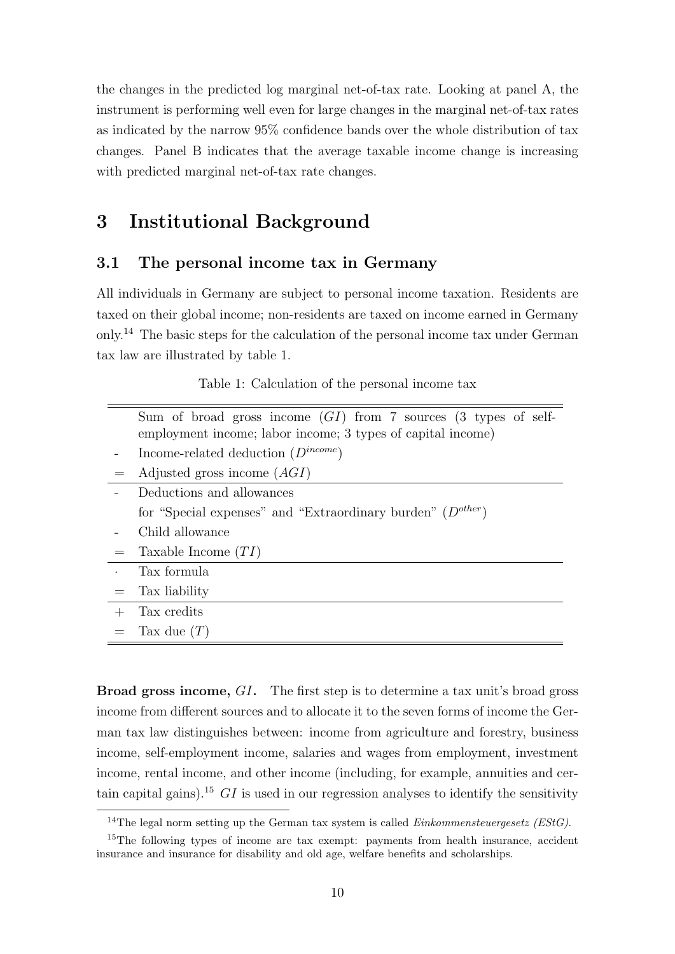the changes in the predicted log marginal net-of-tax rate. Looking at panel A, the instrument is performing well even for large changes in the marginal net-of-tax rates as indicated by the narrow 95% confidence bands over the whole distribution of tax changes. Panel B indicates that the average taxable income change is increasing with predicted marginal net-of-tax rate changes.

# <span id="page-12-0"></span>3 Institutional Background

#### <span id="page-12-4"></span>3.1 The personal income tax in Germany

All individuals in Germany are subject to personal income taxation. Residents are taxed on their global income; non-residents are taxed on income earned in Germany only.[14](#page-12-1) The basic steps for the calculation of the personal income tax under German tax law are illustrated by table [1.](#page-12-2)

<span id="page-12-2"></span>

| Sum of broad gross income $(GI)$ from 7 sources (3 types of self-<br>employment income; labor income; 3 types of capital income) |
|----------------------------------------------------------------------------------------------------------------------------------|
| Income-related deduction $(D^{income})$                                                                                          |
| Adjusted gross income $(AGI)$                                                                                                    |
| Deductions and allowances                                                                                                        |
| for "Special expenses" and "Extraordinary burden" $(D^{other})$                                                                  |
| Child allowance                                                                                                                  |
| Taxable Income $(TI)$                                                                                                            |
| Tax formula                                                                                                                      |
| Tax liability                                                                                                                    |
| Tax credits                                                                                                                      |
| Tax due $(T)$                                                                                                                    |

Broad gross income, GI. The first step is to determine a tax unit's broad gross income from different sources and to allocate it to the seven forms of income the German tax law distinguishes between: income from agriculture and forestry, business income, self-employment income, salaries and wages from employment, investment income, rental income, and other income (including, for example, annuities and cer-tain capital gains).<sup>[15](#page-12-3)</sup>  $GI$  is used in our regression analyses to identify the sensitivity

<span id="page-12-3"></span><span id="page-12-1"></span><sup>&</sup>lt;sup>14</sup>The legal norm setting up the German tax system is called  $Einkommensteuergesetz$  ( $EStG$ ).

<sup>&</sup>lt;sup>15</sup>The following types of income are tax exempt: payments from health insurance, accident insurance and insurance for disability and old age, welfare benefits and scholarships.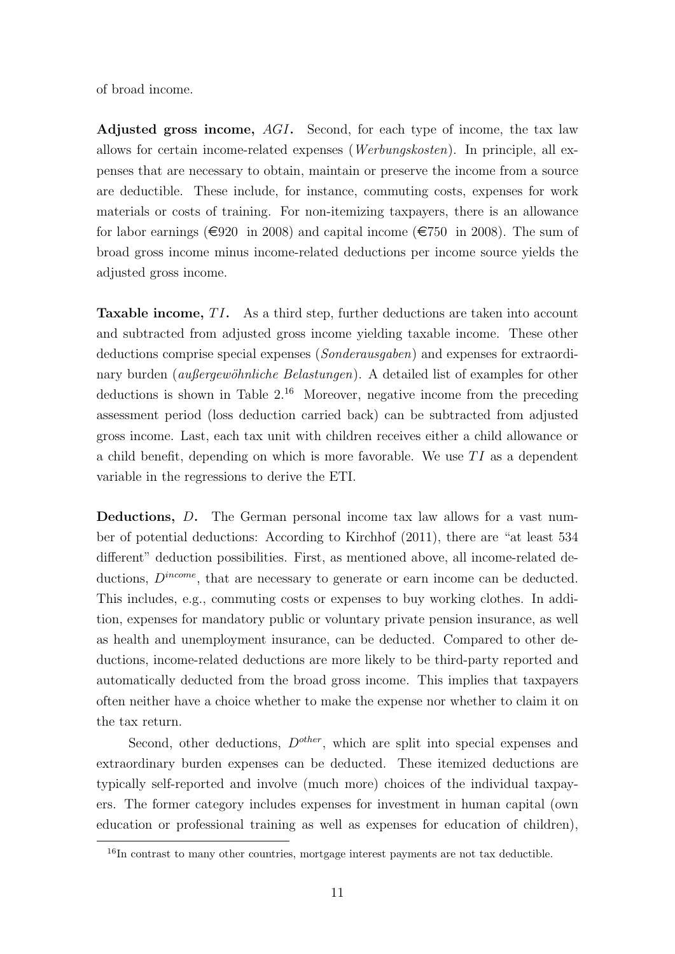of broad income.

Adjusted gross income, AGI. Second, for each type of income, the tax law allows for certain income-related expenses (Werbungskosten). In principle, all expenses that are necessary to obtain, maintain or preserve the income from a source are deductible. These include, for instance, commuting costs, expenses for work materials or costs of training. For non-itemizing taxpayers, there is an allowance for labor earnings ( $\epsilon$ 920 in 2008) and capital income ( $\epsilon$ 750 in 2008). The sum of broad gross income minus income-related deductions per income source yields the adjusted gross income.

**Taxable income, TI.** As a third step, further deductions are taken into account and subtracted from adjusted gross income yielding taxable income. These other deductions comprise special expenses (Sonderausgaben) and expenses for extraordinary burden (außergewöhnliche Belastungen). A detailed list of examples for other deductions is shown in Table  $2^{16}$  $2^{16}$  $2^{16}$  Moreover, negative income from the preceding assessment period (loss deduction carried back) can be subtracted from adjusted gross income. Last, each tax unit with children receives either a child allowance or a child benefit, depending on which is more favorable. We use  $TI$  as a dependent variable in the regressions to derive the ETI.

Deductions, D. The German personal income tax law allows for a vast number of potential deductions: According to [Kirchhof \(2011\),](#page-23-1) there are "at least 534 different" deduction possibilities. First, as mentioned above, all income-related deductions,  $D^{income}$ , that are necessary to generate or earn income can be deducted. This includes, e.g., commuting costs or expenses to buy working clothes. In addition, expenses for mandatory public or voluntary private pension insurance, as well as health and unemployment insurance, can be deducted. Compared to other deductions, income-related deductions are more likely to be third-party reported and automatically deducted from the broad gross income. This implies that taxpayers often neither have a choice whether to make the expense nor whether to claim it on the tax return.

Second, other deductions,  $D^{other}$ , which are split into special expenses and extraordinary burden expenses can be deducted. These itemized deductions are typically self-reported and involve (much more) choices of the individual taxpayers. The former category includes expenses for investment in human capital (own education or professional training as well as expenses for education of children),

<span id="page-13-0"></span><sup>&</sup>lt;sup>16</sup>In contrast to many other countries, mortgage interest payments are not tax deductible.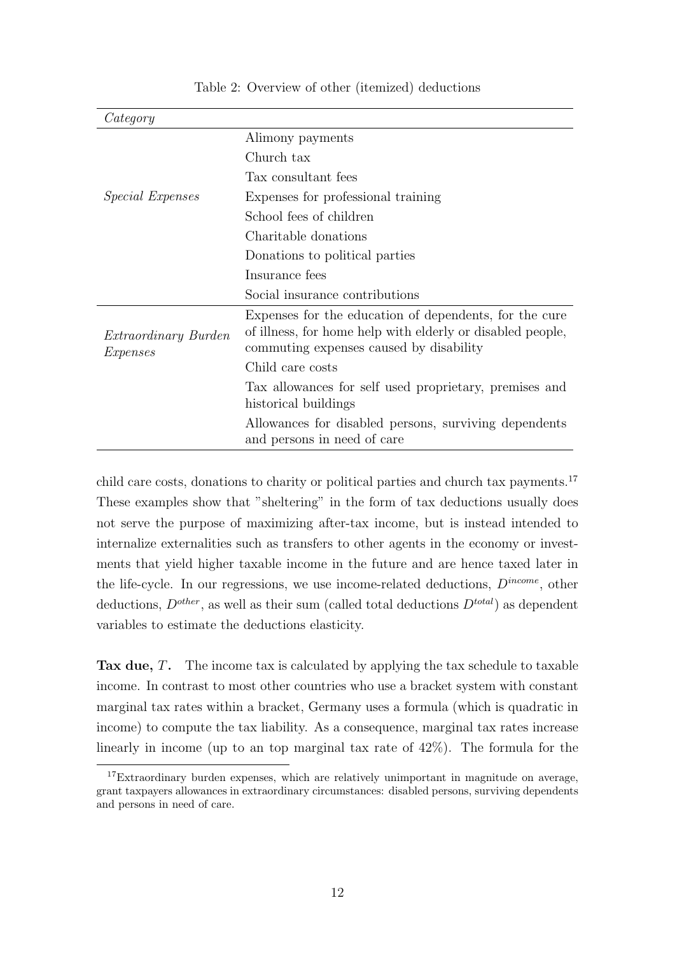<span id="page-14-0"></span>

| Category                                       |                                                                                                                                                                 |  |  |  |  |
|------------------------------------------------|-----------------------------------------------------------------------------------------------------------------------------------------------------------------|--|--|--|--|
|                                                | Alimony payments                                                                                                                                                |  |  |  |  |
|                                                | Church tax                                                                                                                                                      |  |  |  |  |
|                                                | Tax consultant fees                                                                                                                                             |  |  |  |  |
| <i>Special Expenses</i>                        | Expenses for professional training                                                                                                                              |  |  |  |  |
|                                                | School fees of children                                                                                                                                         |  |  |  |  |
|                                                | Charitable donations                                                                                                                                            |  |  |  |  |
|                                                | Donations to political parties                                                                                                                                  |  |  |  |  |
|                                                | Insurance fees                                                                                                                                                  |  |  |  |  |
|                                                | Social insurance contributions                                                                                                                                  |  |  |  |  |
| <i>Extraordinary Burden</i><br><i>Expenses</i> | Expenses for the education of dependents, for the cure<br>of illness, for home help with elderly or disabled people,<br>commuting expenses caused by disability |  |  |  |  |
|                                                | Child care costs                                                                                                                                                |  |  |  |  |
|                                                | Tax allowances for self used proprietary, premises and<br>historical buildings                                                                                  |  |  |  |  |
|                                                | Allowances for disabled persons, surviving dependents<br>and persons in need of care                                                                            |  |  |  |  |

#### Table 2: Overview of other (itemized) deductions

child care costs, donations to charity or political parties and church tax payments.[17](#page-14-1) These examples show that "sheltering" in the form of tax deductions usually does not serve the purpose of maximizing after-tax income, but is instead intended to internalize externalities such as transfers to other agents in the economy or investments that yield higher taxable income in the future and are hence taxed later in the life-cycle. In our regressions, we use income-related deductions,  $D^{income}$ , other deductions,  $D^{other}$ , as well as their sum (called total deductions  $D^{total}$ ) as dependent variables to estimate the deductions elasticity.

Tax due, T. The income tax is calculated by applying the tax schedule to taxable income. In contrast to most other countries who use a bracket system with constant marginal tax rates within a bracket, Germany uses a formula (which is quadratic in income) to compute the tax liability. As a consequence, marginal tax rates increase linearly in income (up to an top marginal tax rate of 42%). The formula for the

<span id="page-14-1"></span><sup>&</sup>lt;sup>17</sup>Extraordinary burden expenses, which are relatively unimportant in magnitude on average, grant taxpayers allowances in extraordinary circumstances: disabled persons, surviving dependents and persons in need of care.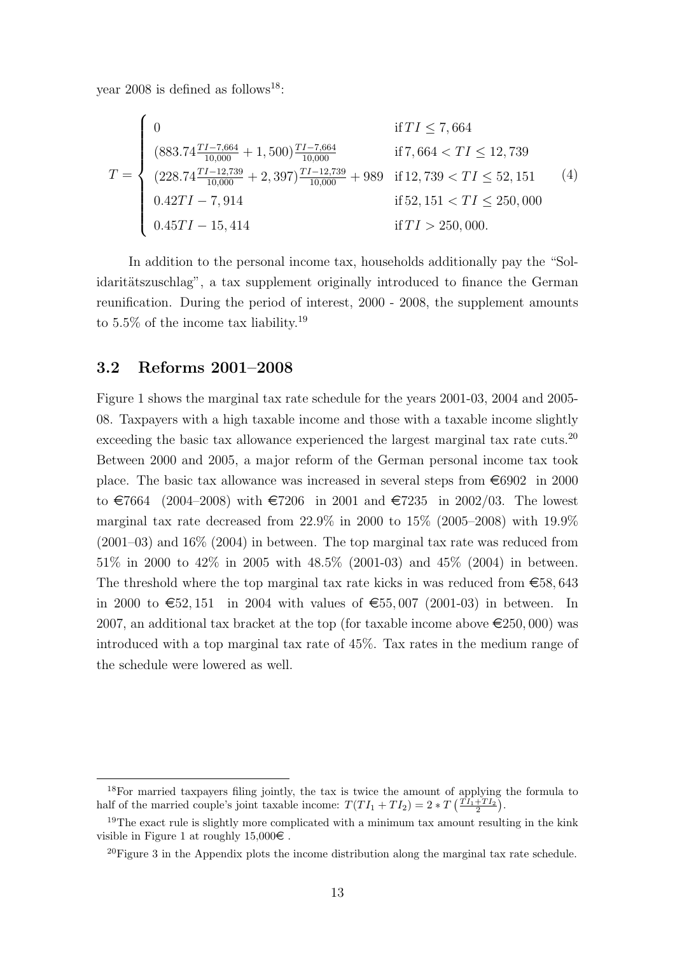year 2008 is defined as follows<sup>[18](#page-15-0)</sup>:

$$
T = \begin{cases} 0 & \text{if } TI \le 7,664\\ (883.74\frac{TI-7,664}{10,000} + 1,500)\frac{TI-7,664}{10,000} & \text{if } 7,664 < TI \le 12,739\\ (228.74\frac{TI-12,739}{10,000} + 2,397)\frac{TI-12,739}{10,000} + 989 & \text{if } 12,739 < TI \le 52,151\\ 0.42TI-7,914 & \text{if } 52,151 < TI \le 250,000\\ 0.45TI-15,414 & \text{if } TI > 250,000. \end{cases} \tag{4}
$$

In addition to the personal income tax, households additionally pay the "Solidaritätszuschlag", a tax supplement originally introduced to finance the German reunification. During the period of interest, 2000 - 2008, the supplement amounts to 5.5% of the income tax liability.<sup>[19](#page-15-1)</sup>

#### 3.2 Reforms 2001–2008

Figure [1](#page-16-1) shows the marginal tax rate schedule for the years 2001-03, 2004 and 2005- 08. Taxpayers with a high taxable income and those with a taxable income slightly exceeding the basic tax allowance experienced the largest marginal tax rate cuts.<sup>[20](#page-15-2)</sup> Between 2000 and 2005, a major reform of the German personal income tax took place. The basic tax allowance was increased in several steps from  $\epsilon$ 6902 in 2000 to  $\text{\textsterling}7664$  (2004–2008) with  $\text{\textsterling}7206$  in 2001 and  $\text{\textsterling}7235$  in 2002/03. The lowest marginal tax rate decreased from  $22.9\%$  in 2000 to  $15\%$  (2005–2008) with 19.9% (2001–03) and 16% (2004) in between. The top marginal tax rate was reduced from 51% in 2000 to 42% in 2005 with 48.5% (2001-03) and 45% (2004) in between. The threshold where the top marginal tax rate kicks in was reduced from  $\epsilon$ 58, 643 in 2000 to  $\epsilon$ 52, 151 in 2004 with values of  $\epsilon$ 55, 007 (2001-03) in between. In 2007, an additional tax bracket at the top (for taxable income above  $\epsilon$ 250, 000) was introduced with a top marginal tax rate of 45%. Tax rates in the medium range of the schedule were lowered as well.

<span id="page-15-0"></span> $18$ For married taxpayers filing jointly, the tax is twice the amount of applying the formula to half of the married couple's joint taxable income:  $T(TI_1 + TI_2) = 2 \times T\left(\frac{TI_1 + TI_2}{2}\right)$ .

<span id="page-15-1"></span><sup>&</sup>lt;sup>19</sup>The exact rule is slightly more complicated with a minimum tax amount resulting in the kink visible in Figure [1](#page-16-1) at roughly  $15,000 \in .$ 

<span id="page-15-2"></span><sup>&</sup>lt;sup>20</sup>Figure [3](#page-28-0) in the Appendix plots the income distribution along the marginal tax rate schedule.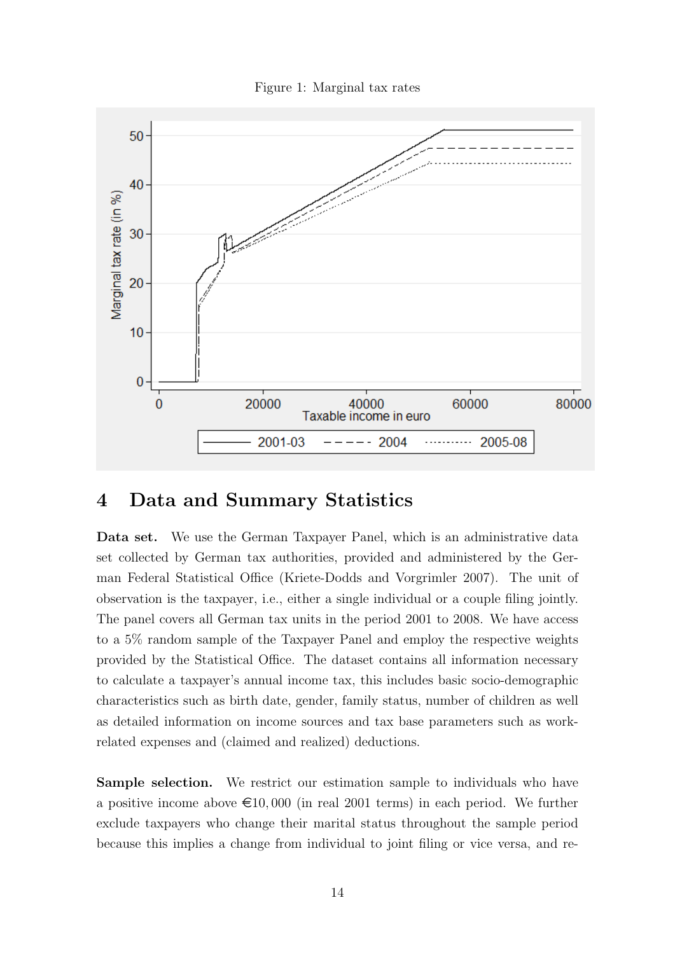

<span id="page-16-1"></span>

### <span id="page-16-0"></span>4 Data and Summary Statistics

Data set. We use the German Taxpayer Panel, which is an administrative data set collected by German tax authorities, provided and administered by the German Federal Statistical Office [\(Kriete-Dodds and Vorgrimler 2007\)](#page-23-12). The unit of observation is the taxpayer, i.e., either a single individual or a couple filing jointly. The panel covers all German tax units in the period 2001 to 2008. We have access to a 5% random sample of the Taxpayer Panel and employ the respective weights provided by the Statistical Office. The dataset contains all information necessary to calculate a taxpayer's annual income tax, this includes basic socio-demographic characteristics such as birth date, gender, family status, number of children as well as detailed information on income sources and tax base parameters such as workrelated expenses and (claimed and realized) deductions.

Sample selection. We restrict our estimation sample to individuals who have a positive income above  $\epsilon 10,000$  (in real 2001 terms) in each period. We further exclude taxpayers who change their marital status throughout the sample period because this implies a change from individual to joint filing or vice versa, and re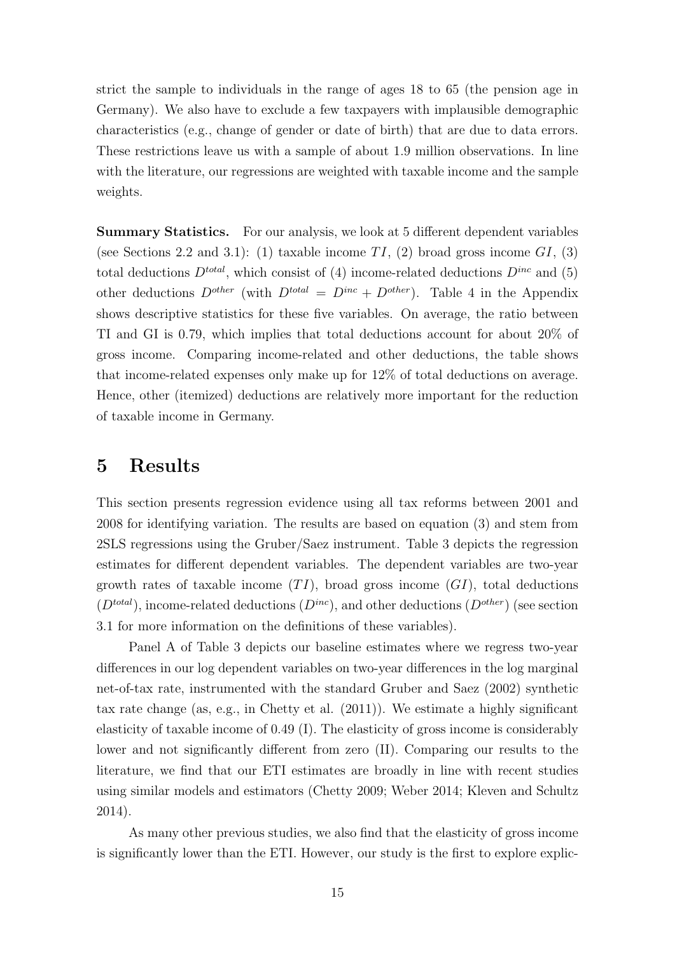strict the sample to individuals in the range of ages 18 to 65 (the pension age in Germany). We also have to exclude a few taxpayers with implausible demographic characteristics (e.g., change of gender or date of birth) that are due to data errors. These restrictions leave us with a sample of about 1.9 million observations. In line with the literature, our regressions are weighted with taxable income and the sample weights.

Summary Statistics. For our analysis, we look at 5 different dependent variables (see Sections [2.2](#page-10-0) and [3.1\)](#page-12-4): (1) taxable income  $TI$ , (2) broad gross income  $GI$ , (3) total deductions  $D^{total}$ , which consist of (4) income-related deductions  $D^{inc}$  and (5) other deductions  $D^{other}$  (with  $D^{total} = D^{inc} + D^{other}$ ). Table [4](#page-26-0) in the Appendix shows descriptive statistics for these five variables. On average, the ratio between TI and GI is 0.79, which implies that total deductions account for about 20% of gross income. Comparing income-related and other deductions, the table shows that income-related expenses only make up for 12% of total deductions on average. Hence, other (itemized) deductions are relatively more important for the reduction of taxable income in Germany.

# <span id="page-17-0"></span>5 Results

This section presents regression evidence using all tax reforms between 2001 and 2008 for identifying variation. The results are based on equation [\(3\)](#page-10-3) and stem from 2SLS regressions using the Gruber/Saez instrument. Table [3](#page-18-0) depicts the regression estimates for different dependent variables. The dependent variables are two-year growth rates of taxable income  $(TI)$ , broad gross income  $(GI)$ , total deductions  $(D^{total})$ , income-related deductions  $(D^{inc})$ , and other deductions  $(D^{other})$  (see section [3.1](#page-12-4) for more information on the definitions of these variables).

Panel A of Table [3](#page-18-0) depicts our baseline estimates where we regress two-year differences in our log dependent variables on two-year differences in the log marginal net-of-tax rate, instrumented with the standard [Gruber and Saez \(2002\)](#page-23-2) synthetic tax rate change (as, e.g., in [Chetty et al. \(2011\)\)](#page-22-5). We estimate a highly significant elasticity of taxable income of 0.49 (I). The elasticity of gross income is considerably lower and not significantly different from zero (II). Comparing our results to the literature, we find that our ETI estimates are broadly in line with recent studies using similar models and estimators [\(Chetty 2009;](#page-22-2) [Weber 2014;](#page-25-0) [Kleven and Schultz](#page-23-0) [2014\)](#page-23-0).

As many other previous studies, we also find that the elasticity of gross income is significantly lower than the ETI. However, our study is the first to explore explic-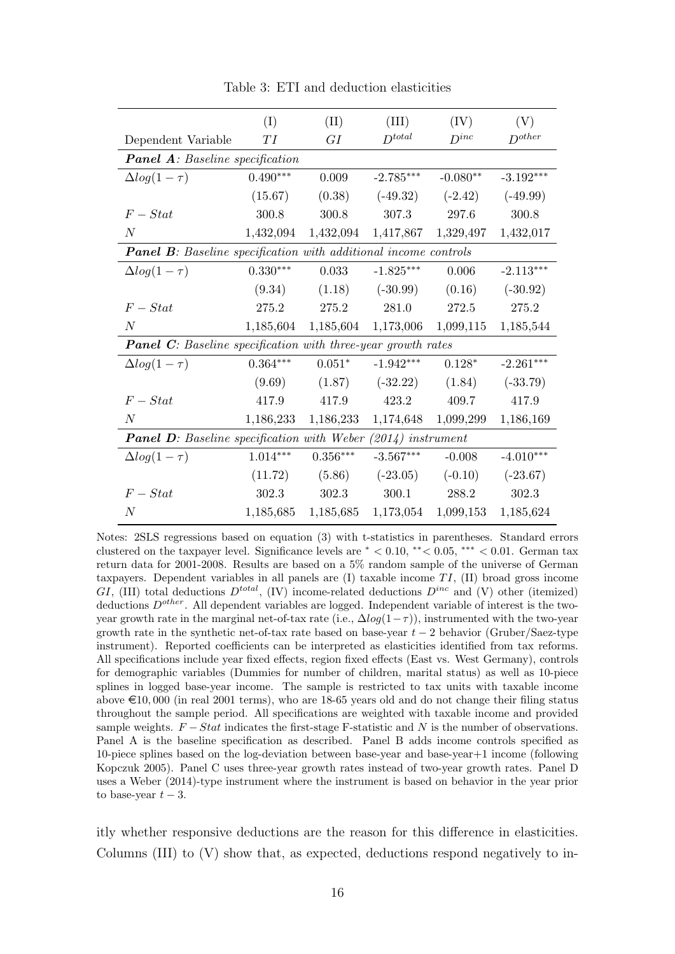<span id="page-18-0"></span>

|                                                                        | (I)             | (II)                   | (III)              | (IV)       | (V)         |  |  |  |  |
|------------------------------------------------------------------------|-----------------|------------------------|--------------------|------------|-------------|--|--|--|--|
| Dependent Variable                                                     | ТI              | GI                     | D <sup>total</sup> | $D^{inc}$  | $D^{other}$ |  |  |  |  |
| <b>Panel A:</b> Baseline specification                                 |                 |                        |                    |            |             |  |  |  |  |
| $\Delta log(1-\tau)$                                                   | $0.490***$      | 0.009                  | $-2.785***$        | $-0.080**$ | $-3.192***$ |  |  |  |  |
|                                                                        | (15.67)         | (0.38)                 | $(-49.32)$         | $(-2.42)$  | $(-49.99)$  |  |  |  |  |
| $F - Stat$                                                             | $300.8\,$       | 300.8                  | 307.3              | 297.6      | 300.8       |  |  |  |  |
| N                                                                      | 1,432,094       | 1,432,094              | 1,417,867          | 1,329,497  | 1,432,017   |  |  |  |  |
| <b>Panel B:</b> Baseline specification with additional income controls |                 |                        |                    |            |             |  |  |  |  |
| $\Delta log(1-\tau)$                                                   | $0.330^{***}\,$ | 0.033                  | $-1.825***$        | 0.006      | $-2.113***$ |  |  |  |  |
|                                                                        | (9.34)          | (1.18)                 | $(-30.99)$         | (0.16)     | $(-30.92)$  |  |  |  |  |
| $F - Stat$                                                             | 275.2           | $275.2\,$              | 281.0              | 272.5      | $275.2\,$   |  |  |  |  |
| N                                                                      | 1,185,604       | 1,185,604              | 1,173,006          | 1,099,115  | 1,185,544   |  |  |  |  |
| <b>Panel C:</b> Baseline specification with three-year growth rates    |                 |                        |                    |            |             |  |  |  |  |
| $\Delta log(1-\tau)$                                                   | $0.364***$      | $0.051*$               | $-1.942***$        | $0.128*$   | $-2.261***$ |  |  |  |  |
|                                                                        | (9.69)          | (1.87)                 | $(-32.22)$         | (1.84)     | $(-33.79)$  |  |  |  |  |
| $F - Stat$                                                             | 417.9           | 417.9                  | 423.2              | 409.7      | 417.9       |  |  |  |  |
| N                                                                      | 1,186,233       | 1,186,233              | 1,174,648          | 1,099,299  | 1,186,169   |  |  |  |  |
| <b>Panel D:</b> Baseline specification with Weber $(2014)$ instrument  |                 |                        |                    |            |             |  |  |  |  |
| $\Delta log(1-\tau)$                                                   | $1.014***$      | $0.356^{\ast\ast\ast}$ | $-3.567***$        | $-0.008$   | $-4.010***$ |  |  |  |  |
|                                                                        | (11.72)         | (5.86)                 | $(-23.05)$         | $(-0.10)$  | $(-23.67)$  |  |  |  |  |
| $F - Stat$                                                             | 302.3           | 302.3                  | 300.1              | 288.2      | 302.3       |  |  |  |  |
| $\boldsymbol{N}$                                                       | 1,185,685       | 1,185,685              | 1,173,054          | 1,099,153  | 1,185,624   |  |  |  |  |

Table 3: ETI and deduction elasticities

Notes: 2SLS regressions based on equation [\(3\)](#page-10-3) with t-statistics in parentheses. Standard errors clustered on the taxpayer level. Significance levels are  $* < 0.10, ** < 0.05, ** < 0.01$ . German tax return data for 2001-2008. Results are based on a 5% random sample of the universe of German taxpayers. Dependent variables in all panels are  $(I)$  taxable income  $TI$ ,  $(II)$  broad gross income GI, (III) total deductions  $D^{total}$ , (IV) income-related deductions  $D^{inc}$  and (V) other (itemized) deductions  $D^{other}$ . All dependent variables are logged. Independent variable of interest is the twoyear growth rate in the marginal net-of-tax rate (i.e.,  $\Delta log(1-\tau)$ ), instrumented with the two-year growth rate in the synthetic net-of-tax rate based on base-year  $t-2$  behavior (Gruber/Saez-type instrument). Reported coefficients can be interpreted as elasticities identified from tax reforms. All specifications include year fixed effects, region fixed effects (East vs. West Germany), controls for demographic variables (Dummies for number of children, marital status) as well as 10-piece splines in logged base-year income. The sample is restricted to tax units with taxable income above  $\epsilon$ 10, 000 (in real 2001 terms), who are 18-65 years old and do not change their filing status throughout the sample period. All specifications are weighted with taxable income and provided sample weights.  $F - Stat$  indicates the first-stage F-statistic and N is the number of observations. Panel A is the baseline specification as described. Panel B adds income controls specified as 10-piece splines based on the log-deviation between base-year and base-year+1 income (following [Kopczuk 2005\)](#page-23-6). Panel C uses three-year growth rates instead of two-year growth rates. Panel D uses a [Weber \(2014\)-](#page-25-0)type instrument where the instrument is based on behavior in the year prior to base-year  $t-3$ .

itly whether responsive deductions are the reason for this difference in elasticities. Columns (III) to (V) show that, as expected, deductions respond negatively to in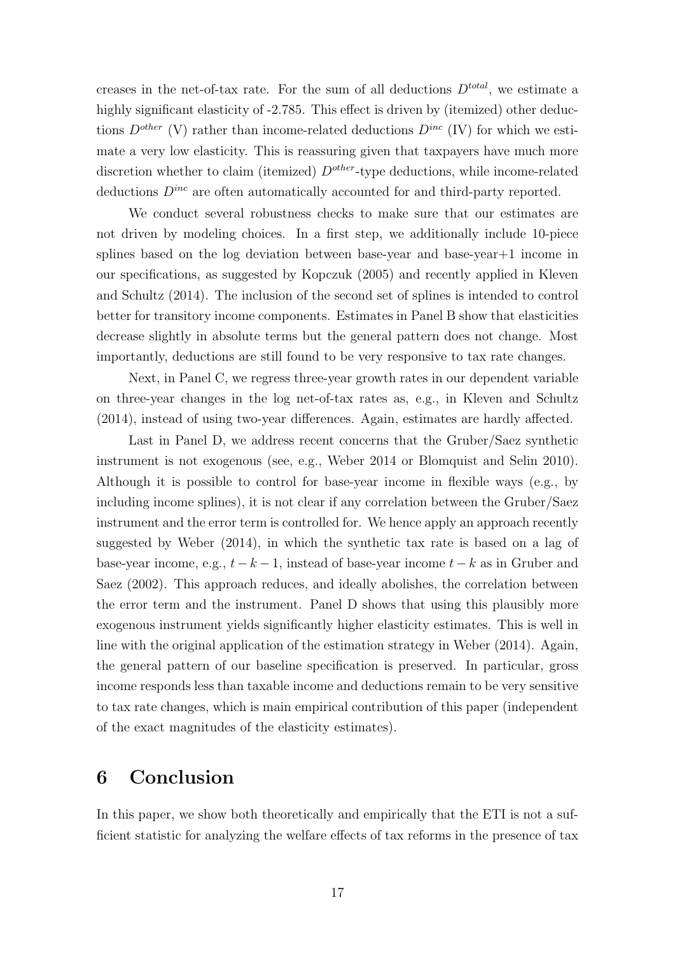creases in the net-of-tax rate. For the sum of all deductions  $D^{total}$ , we estimate a highly significant elasticity of  $-2.785$ . This effect is driven by (itemized) other deductions  $D^{other}$  (V) rather than income-related deductions  $D^{inc}$  (IV) for which we estimate a very low elasticity. This is reassuring given that taxpayers have much more discretion whether to claim (itemized)  $D^{other}$ -type deductions, while income-related deductions  $D^{inc}$  are often automatically accounted for and third-party reported.

We conduct several robustness checks to make sure that our estimates are not driven by modeling choices. In a first step, we additionally include 10-piece splines based on the log deviation between base-year and base-year+1 income in our specifications, as suggested by [Kopczuk \(2005\)](#page-23-6) and recently applied in [Kleven](#page-23-0) [and Schultz \(2014\).](#page-23-0) The inclusion of the second set of splines is intended to control better for transitory income components. Estimates in Panel B show that elasticities decrease slightly in absolute terms but the general pattern does not change. Most importantly, deductions are still found to be very responsive to tax rate changes.

Next, in Panel C, we regress three-year growth rates in our dependent variable on three-year changes in the log net-of-tax rates as, e.g., in [Kleven and Schultz](#page-23-0) [\(2014\),](#page-23-0) instead of using two-year differences. Again, estimates are hardly affected.

Last in Panel D, we address recent concerns that the Gruber/Saez synthetic instrument is not exogenous (see, e.g., [Weber 2014](#page-25-0) or [Blomquist and Selin 2010\)](#page-22-11). Although it is possible to control for base-year income in flexible ways (e.g., by including income splines), it is not clear if any correlation between the Gruber/Saez instrument and the error term is controlled for. We hence apply an approach recently suggested by [Weber \(2014\),](#page-25-0) in which the synthetic tax rate is based on a lag of base-year income, e.g.,  $t - k - 1$ , instead of base-year income  $t - k$  as in [Gruber and](#page-23-2) [Saez \(2002\).](#page-23-2) This approach reduces, and ideally abolishes, the correlation between the error term and the instrument. Panel D shows that using this plausibly more exogenous instrument yields significantly higher elasticity estimates. This is well in line with the original application of the estimation strategy in [Weber \(2014\).](#page-25-0) Again, the general pattern of our baseline specification is preserved. In particular, gross income responds less than taxable income and deductions remain to be very sensitive to tax rate changes, which is main empirical contribution of this paper (independent of the exact magnitudes of the elasticity estimates).

# <span id="page-19-0"></span>6 Conclusion

In this paper, we show both theoretically and empirically that the ETI is not a sufficient statistic for analyzing the welfare effects of tax reforms in the presence of tax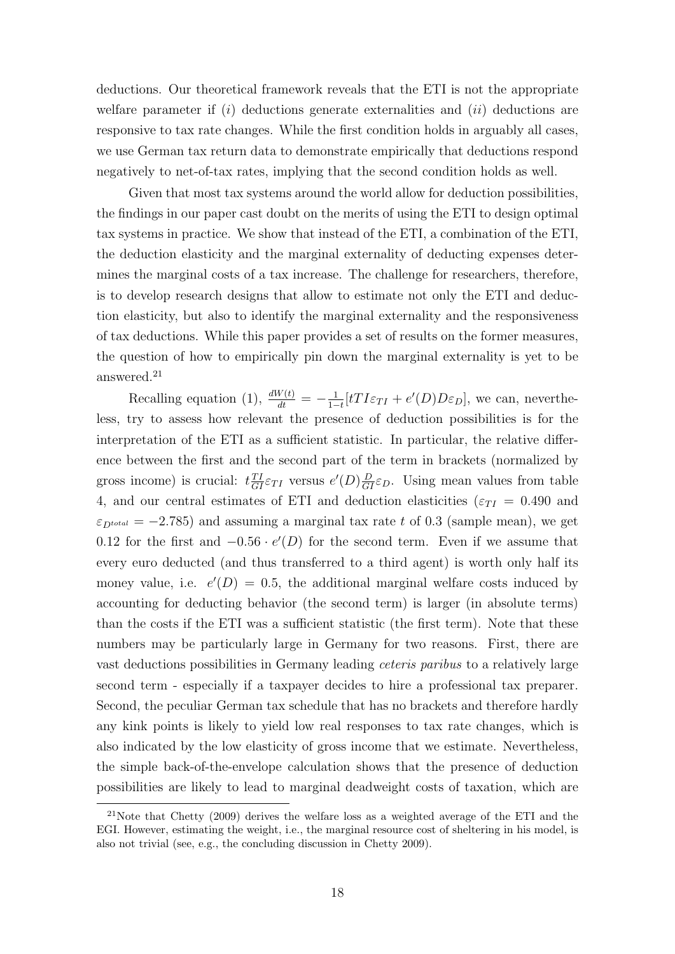deductions. Our theoretical framework reveals that the ETI is not the appropriate welfare parameter if  $(i)$  deductions generate externalities and  $(ii)$  deductions are responsive to tax rate changes. While the first condition holds in arguably all cases, we use German tax return data to demonstrate empirically that deductions respond negatively to net-of-tax rates, implying that the second condition holds as well.

Given that most tax systems around the world allow for deduction possibilities, the findings in our paper cast doubt on the merits of using the ETI to design optimal tax systems in practice. We show that instead of the ETI, a combination of the ETI, the deduction elasticity and the marginal externality of deducting expenses determines the marginal costs of a tax increase. The challenge for researchers, therefore, is to develop research designs that allow to estimate not only the ETI and deduction elasticity, but also to identify the marginal externality and the responsiveness of tax deductions. While this paper provides a set of results on the former measures, the question of how to empirically pin down the marginal externality is yet to be answered.<sup>[21](#page-20-0)</sup>

Recalling equation [\(1\)](#page-8-1),  $\frac{dW(t)}{dt} = -\frac{1}{1-t}$  $\frac{1}{1-t}[tT I \varepsilon_{TI} + e'(D)D\varepsilon_D]$ , we can, nevertheless, try to assess how relevant the presence of deduction possibilities is for the interpretation of the ETI as a sufficient statistic. In particular, the relative difference between the first and the second part of the term in brackets (normalized by gross income) is crucial:  $t \frac{TI}{GI} \varepsilon_{TI}$  versus  $e'(D) \frac{D}{GI} \varepsilon_{D}$ . Using mean values from table [4,](#page-26-0) and our central estimates of ETI and deduction elasticities ( $\varepsilon_{TI} = 0.490$  and  $\varepsilon_{D^{total}} = -2.785$ ) and assuming a marginal tax rate t of 0.3 (sample mean), we get 0.12 for the first and  $-0.56 \cdot e'(D)$  for the second term. Even if we assume that every euro deducted (and thus transferred to a third agent) is worth only half its money value, i.e.  $e'(D) = 0.5$ , the additional marginal welfare costs induced by accounting for deducting behavior (the second term) is larger (in absolute terms) than the costs if the ETI was a sufficient statistic (the first term). Note that these numbers may be particularly large in Germany for two reasons. First, there are vast deductions possibilities in Germany leading ceteris paribus to a relatively large second term - especially if a taxpayer decides to hire a professional tax preparer. Second, the peculiar German tax schedule that has no brackets and therefore hardly any kink points is likely to yield low real responses to tax rate changes, which is also indicated by the low elasticity of gross income that we estimate. Nevertheless, the simple back-of-the-envelope calculation shows that the presence of deduction possibilities are likely to lead to marginal deadweight costs of taxation, which are

<span id="page-20-0"></span><sup>21</sup>Note that [Chetty \(2009\)](#page-22-2) derives the welfare loss as a weighted average of the ETI and the EGI. However, estimating the weight, i.e., the marginal resource cost of sheltering in his model, is also not trivial (see, e.g., the concluding discussion in [Chetty 2009\)](#page-22-2).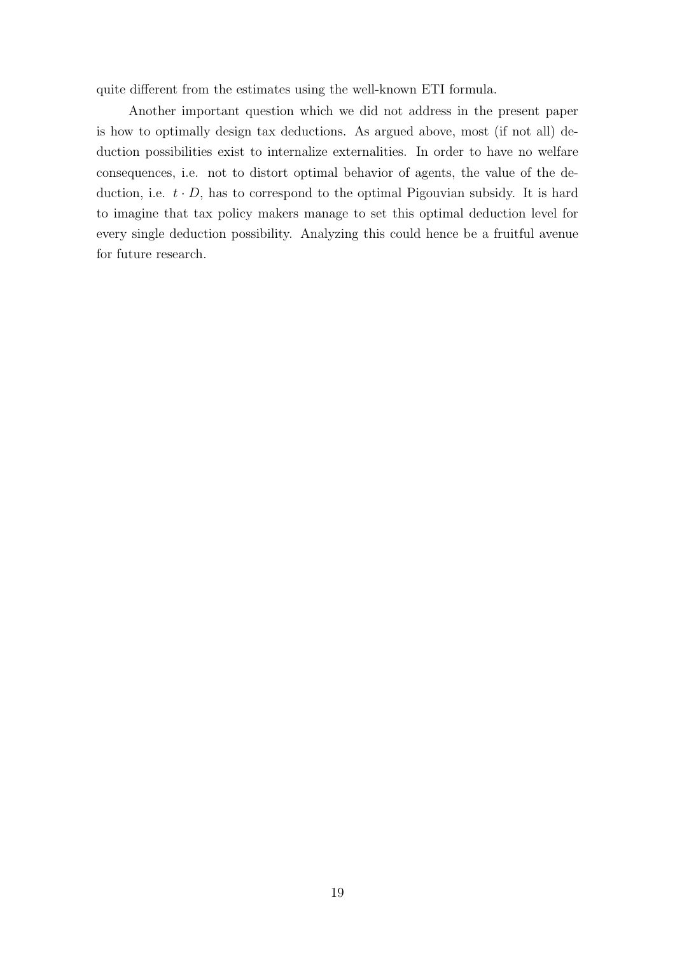quite different from the estimates using the well-known ETI formula.

Another important question which we did not address in the present paper is how to optimally design tax deductions. As argued above, most (if not all) deduction possibilities exist to internalize externalities. In order to have no welfare consequences, i.e. not to distort optimal behavior of agents, the value of the deduction, i.e.  $t \cdot D$ , has to correspond to the optimal Pigouvian subsidy. It is hard to imagine that tax policy makers manage to set this optimal deduction level for every single deduction possibility. Analyzing this could hence be a fruitful avenue for future research.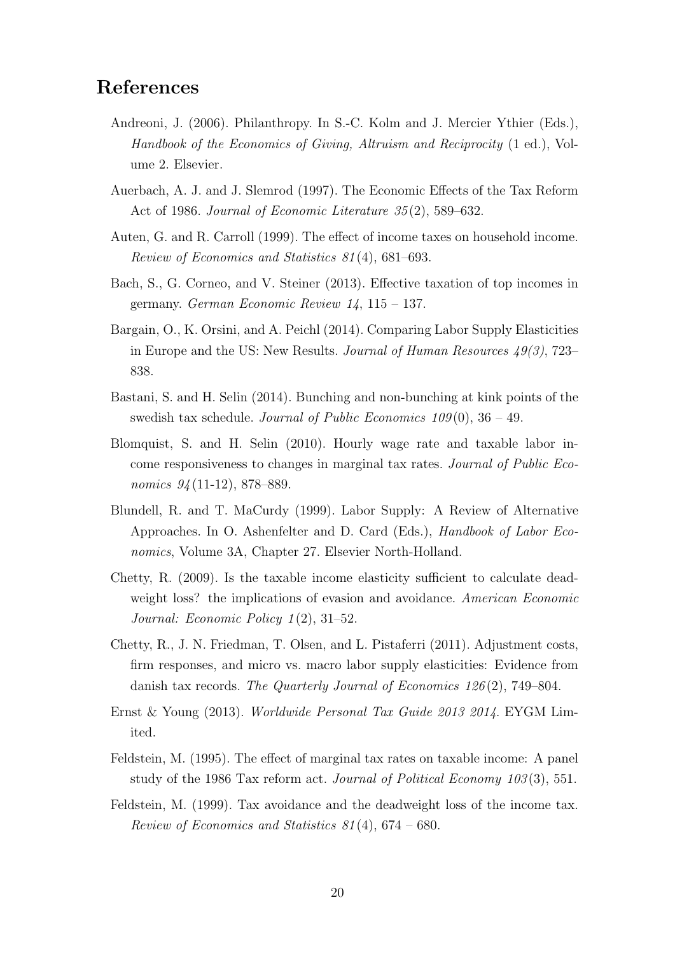# References

- <span id="page-22-6"></span>Andreoni, J. (2006). Philanthropy. In S.-C. Kolm and J. Mercier Ythier (Eds.), Handbook of the Economics of Giving, Altruism and Reciprocity (1 ed.), Volume 2. Elsevier.
- <span id="page-22-10"></span>Auerbach, A. J. and J. Slemrod (1997). The Economic Effects of the Tax Reform Act of 1986. Journal of Economic Literature 35 (2), 589–632.
- <span id="page-22-12"></span>Auten, G. and R. Carroll (1999). The effect of income taxes on household income. Review of Economics and Statistics 81 (4), 681–693.
- <span id="page-22-4"></span>Bach, S., G. Corneo, and V. Steiner (2013). Effective taxation of top incomes in germany. German Economic Review  $14$ ,  $115 - 137$ .
- <span id="page-22-8"></span>Bargain, O., K. Orsini, and A. Peichl (2014). Comparing Labor Supply Elasticities in Europe and the US: New Results. Journal of Human Resources 49(3), 723– 838.
- <span id="page-22-9"></span>Bastani, S. and H. Selin (2014). Bunching and non-bunching at kink points of the swedish tax schedule. Journal of Public Economics  $109(0)$ ,  $36-49$ .
- <span id="page-22-11"></span>Blomquist, S. and H. Selin (2010). Hourly wage rate and taxable labor income responsiveness to changes in marginal tax rates. Journal of Public Economics  $94(11-12)$ , 878–889.
- <span id="page-22-7"></span>Blundell, R. and T. MaCurdy (1999). Labor Supply: A Review of Alternative Approaches. In O. Ashenfelter and D. Card (Eds.), Handbook of Labor Economics, Volume 3A, Chapter 27. Elsevier North-Holland.
- <span id="page-22-2"></span>Chetty, R. (2009). Is the taxable income elasticity sufficient to calculate deadweight loss? the implications of evasion and avoidance. American Economic Journal: Economic Policy 1 (2), 31–52.
- <span id="page-22-5"></span>Chetty, R., J. N. Friedman, T. Olsen, and L. Pistaferri (2011). Adjustment costs, firm responses, and micro vs. macro labor supply elasticities: Evidence from danish tax records. The Quarterly Journal of Economics 126 (2), 749–804.
- <span id="page-22-3"></span>Ernst & Young (2013). Worldwide Personal Tax Guide 2013 2014. EYGM Limited.
- <span id="page-22-0"></span>Feldstein, M. (1995). The effect of marginal tax rates on taxable income: A panel study of the 1986 Tax reform act. Journal of Political Economy 103(3), 551.
- <span id="page-22-1"></span>Feldstein, M. (1999). Tax avoidance and the deadweight loss of the income tax. Review of Economics and Statistics 81 (4), 674 – 680.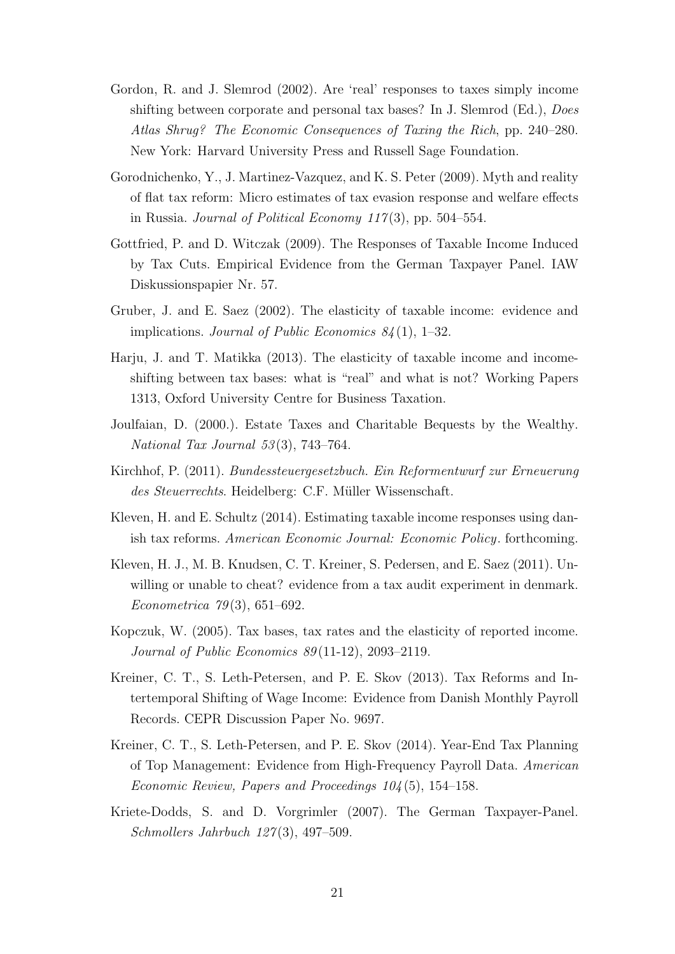- <span id="page-23-4"></span>Gordon, R. and J. Slemrod (2002). Are 'real' responses to taxes simply income shifting between corporate and personal tax bases? In J. Slemrod (Ed.), Does Atlas Shrug? The Economic Consequences of Taxing the Rich, pp. 240–280. New York: Harvard University Press and Russell Sage Foundation.
- <span id="page-23-3"></span>Gorodnichenko, Y., J. Martinez-Vazquez, and K. S. Peter (2009). Myth and reality of flat tax reform: Micro estimates of tax evasion response and welfare effects in Russia. Journal of Political Economy  $117(3)$ , pp. 504–554.
- <span id="page-23-7"></span>Gottfried, P. and D. Witczak (2009). The Responses of Taxable Income Induced by Tax Cuts. Empirical Evidence from the German Taxpayer Panel. IAW Diskussionspapier Nr. 57.
- <span id="page-23-2"></span>Gruber, J. and E. Saez (2002). The elasticity of taxable income: evidence and implications. Journal of Public Economics  $84(1)$ , 1–32.
- <span id="page-23-9"></span>Harju, J. and T. Matikka (2013). The elasticity of taxable income and incomeshifting between tax bases: what is "real" and what is not? Working Papers 1313, Oxford University Centre for Business Taxation.
- <span id="page-23-5"></span>Joulfaian, D. (2000.). Estate Taxes and Charitable Bequests by the Wealthy. National Tax Journal  $53(3)$ , 743–764.
- <span id="page-23-1"></span>Kirchhof, P. (2011). Bundessteuergesetzbuch. Ein Reformentwurf zur Erneuerung des Steuerrechts. Heidelberg: C.F. Müller Wissenschaft.
- <span id="page-23-0"></span>Kleven, H. and E. Schultz (2014). Estimating taxable income responses using danish tax reforms. American Economic Journal: Economic Policy. forthcoming.
- <span id="page-23-11"></span>Kleven, H. J., M. B. Knudsen, C. T. Kreiner, S. Pedersen, and E. Saez (2011). Unwilling or unable to cheat? evidence from a tax audit experiment in denmark. Econometrica  $79(3)$ , 651–692.
- <span id="page-23-6"></span>Kopczuk, W. (2005). Tax bases, tax rates and the elasticity of reported income. Journal of Public Economics 89 (11-12), 2093–2119.
- <span id="page-23-8"></span>Kreiner, C. T., S. Leth-Petersen, and P. E. Skov (2013). Tax Reforms and Intertemporal Shifting of Wage Income: Evidence from Danish Monthly Payroll Records. CEPR Discussion Paper No. 9697.
- <span id="page-23-10"></span>Kreiner, C. T., S. Leth-Petersen, and P. E. Skov (2014). Year-End Tax Planning of Top Management: Evidence from High-Frequency Payroll Data. American Economic Review, Papers and Proceedings 104 (5), 154–158.
- <span id="page-23-12"></span>Kriete-Dodds, S. and D. Vorgrimler (2007). The German Taxpayer-Panel. Schmollers Jahrbuch 127(3), 497–509.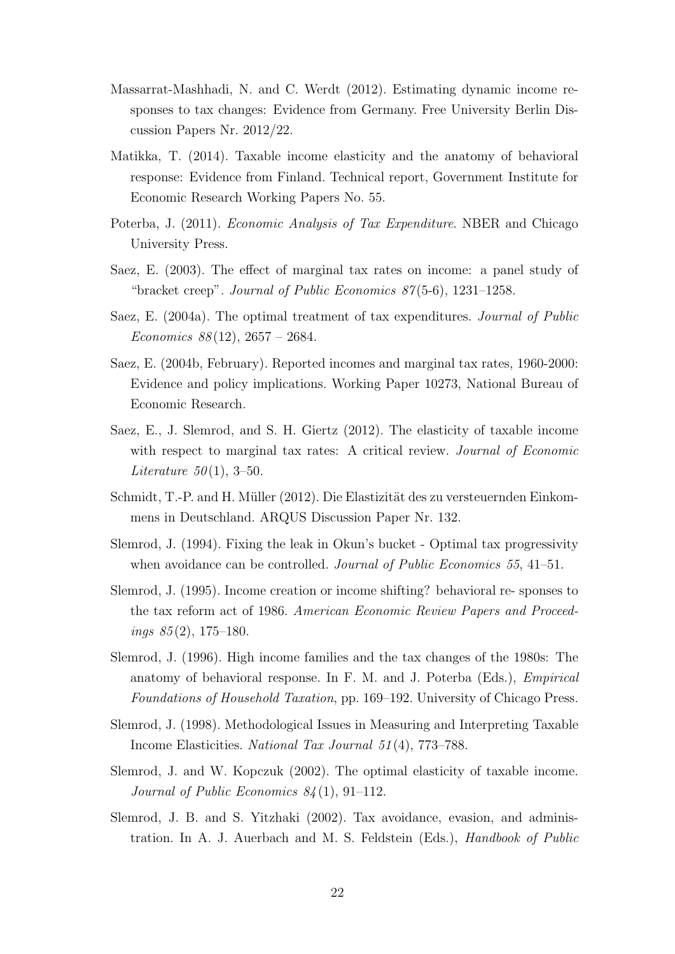- <span id="page-24-11"></span>Massarrat-Mashhadi, N. and C. Werdt (2012). Estimating dynamic income responses to tax changes: Evidence from Germany. Free University Berlin Discussion Papers Nr. 2012/22.
- <span id="page-24-7"></span>Matikka, T. (2014). Taxable income elasticity and the anatomy of behavioral response: Evidence from Finland. Technical report, Government Institute for Economic Research Working Papers No. 55.
- <span id="page-24-13"></span>Poterba, J. (2011). *Economic Analysis of Tax Expenditure*. NBER and Chicago University Press.
- <span id="page-24-6"></span>Saez, E. (2003). The effect of marginal tax rates on income: a panel study of "bracket creep". Journal of Public Economics  $87(5-6)$ , 1231–1258.
- <span id="page-24-1"></span>Saez, E. (2004a). The optimal treatment of tax expenditures. Journal of Public Economics  $88(12)$ ,  $2657 - 2684$ .
- <span id="page-24-4"></span>Saez, E. (2004b, February). Reported incomes and marginal tax rates, 1960-2000: Evidence and policy implications. Working Paper 10273, National Bureau of Economic Research.
- <span id="page-24-0"></span>Saez, E., J. Slemrod, and S. H. Giertz (2012). The elasticity of taxable income with respect to marginal tax rates: A critical review. *Journal of Economic* Literature  $50(1)$ , 3-50.
- <span id="page-24-12"></span>Schmidt, T.-P. and H. Müller (2012). Die Elastizität des zu versteuernden Einkommens in Deutschland. ARQUS Discussion Paper Nr. 132.
- <span id="page-24-9"></span>Slemrod, J. (1994). Fixing the leak in Okun's bucket - Optimal tax progressivity when avoidance can be controlled. Journal of Public Economics 55, 41–51.
- <span id="page-24-10"></span>Slemrod, J. (1995). Income creation or income shifting? behavioral re- sponses to the tax reform act of 1986. American Economic Review Papers and Proceed $ings 85(2), 175-180.$
- <span id="page-24-5"></span>Slemrod, J. (1996). High income families and the tax changes of the 1980s: The anatomy of behavioral response. In F. M. and J. Poterba (Eds.), Empirical Foundations of Household Taxation, pp. 169–192. University of Chicago Press.
- <span id="page-24-2"></span>Slemrod, J. (1998). Methodological Issues in Measuring and Interpreting Taxable Income Elasticities. National Tax Journal 51 (4), 773–788.
- <span id="page-24-8"></span>Slemrod, J. and W. Kopczuk (2002). The optimal elasticity of taxable income. Journal of Public Economics 84 (1), 91–112.
- <span id="page-24-3"></span>Slemrod, J. B. and S. Yitzhaki (2002). Tax avoidance, evasion, and administration. In A. J. Auerbach and M. S. Feldstein (Eds.), Handbook of Public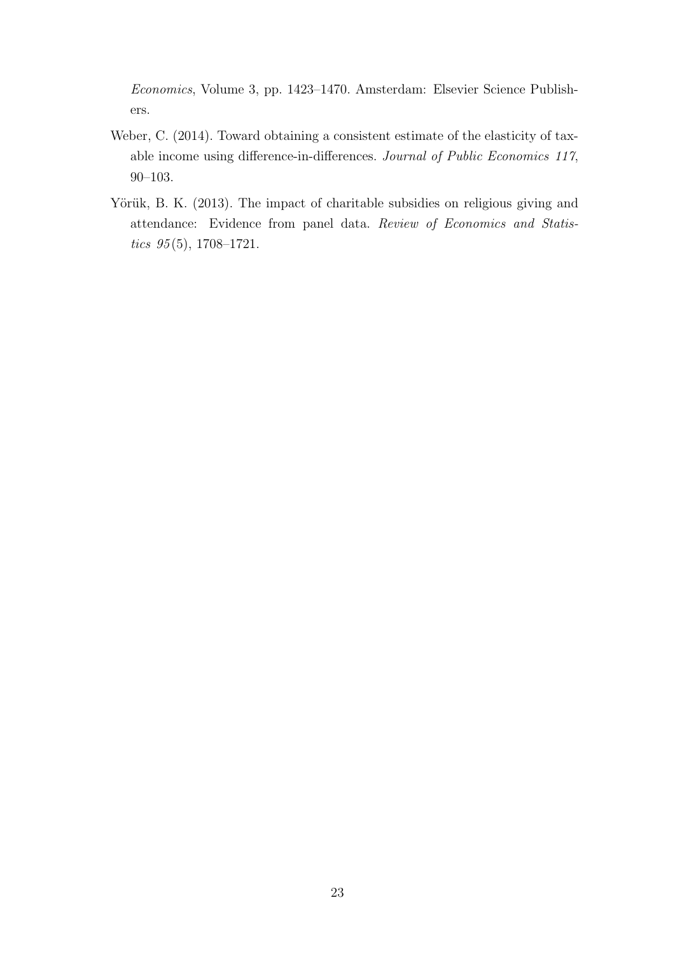Economics, Volume 3, pp. 1423–1470. Amsterdam: Elsevier Science Publishers.

- <span id="page-25-0"></span>Weber, C. (2014). Toward obtaining a consistent estimate of the elasticity of taxable income using difference-in-differences. Journal of Public Economics 117, 90–103.
- <span id="page-25-1"></span>Yörük, B. K. (2013). The impact of charitable subsidies on religious giving and attendance: Evidence from panel data. Review of Economics and Statistics  $95(5)$ , 1708-1721.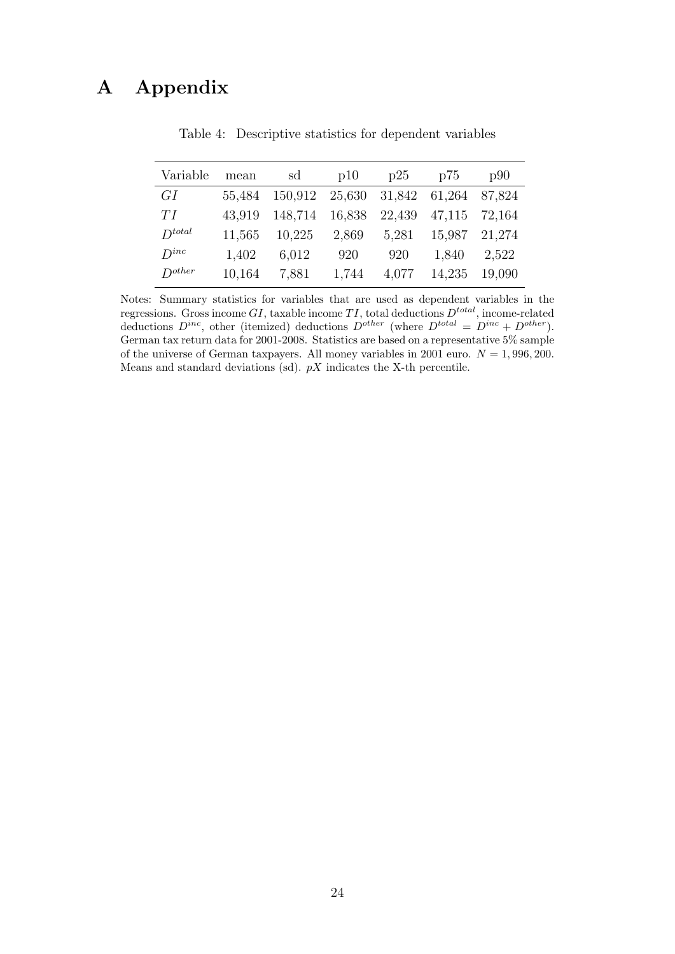# <span id="page-26-0"></span>A Appendix

| Variable           | mean   | sd      | p10    | p25    | p75    | p90    |
|--------------------|--------|---------|--------|--------|--------|--------|
| GI                 | 55,484 | 150,912 | 25,630 | 31,842 | 61,264 | 87.824 |
| TI                 | 43.919 | 148,714 | 16,838 | 22,439 | 47,115 | 72,164 |
| D <sup>total</sup> | 11,565 | 10,225  | 2,869  | 5,281  | 15,987 | 21,274 |
| $D^{inc}$          | 1,402  | 6.012   | 920    | 920    | 1,840  | 2,522  |
| $D^{other}$        | 10,164 | 7,881   | 1,744  | 4,077  | 14,235 | 19,090 |

Table 4: Descriptive statistics for dependent variables

Notes: Summary statistics for variables that are used as dependent variables in the regressions. Gross income  $GI$ , taxable income  $TI$ , total deductions  $D^{total}$ , income-related deductions  $D^{inc}$ , other (itemized) deductions  $D^{other}$  (where  $D^{total} = D^{inc} + D^{other}$ ). German tax return data for 2001-2008. Statistics are based on a representative 5% sample of the universe of German taxpayers. All money variables in 2001 euro.  $N = 1,996,200$ . Means and standard deviations (sd).  $pX$  indicates the X-th percentile.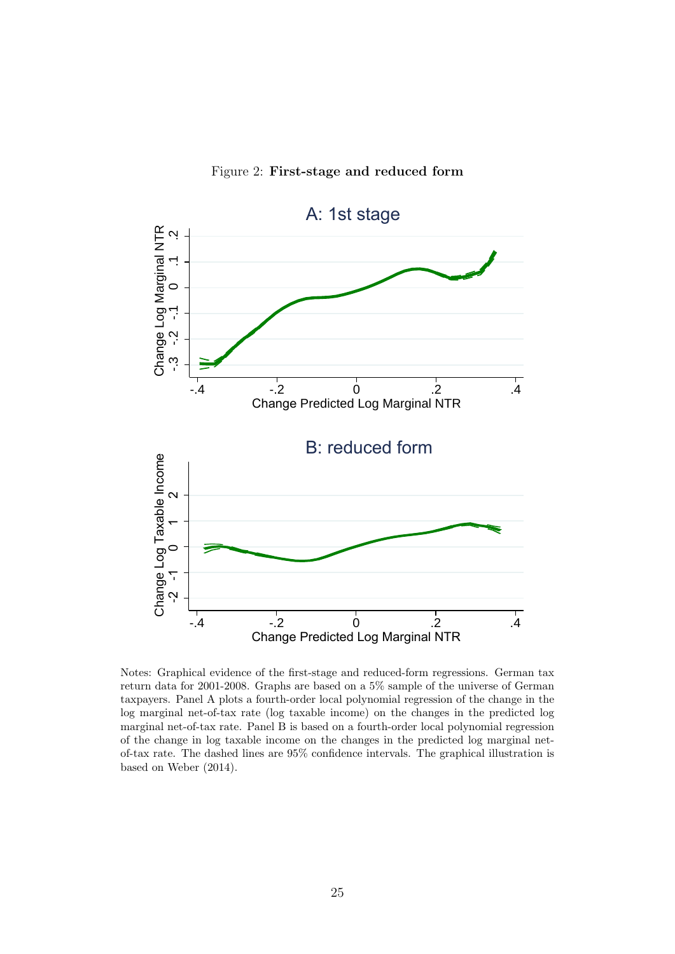

<span id="page-27-0"></span>

Notes: Graphical evidence of the first-stage and reduced-form regressions. German tax return data for 2001-2008. Graphs are based on a 5% sample of the universe of German taxpayers. Panel A plots a fourth-order local polynomial regression of the change in the log marginal net-of-tax rate (log taxable income) on the changes in the predicted log marginal net-of-tax rate. Panel B is based on a fourth-order local polynomial regression of the change in log taxable income on the changes in the predicted log marginal netof-tax rate. The dashed lines are 95% confidence intervals. The graphical illustration is based on [Weber \(2014\).](#page-25-0)